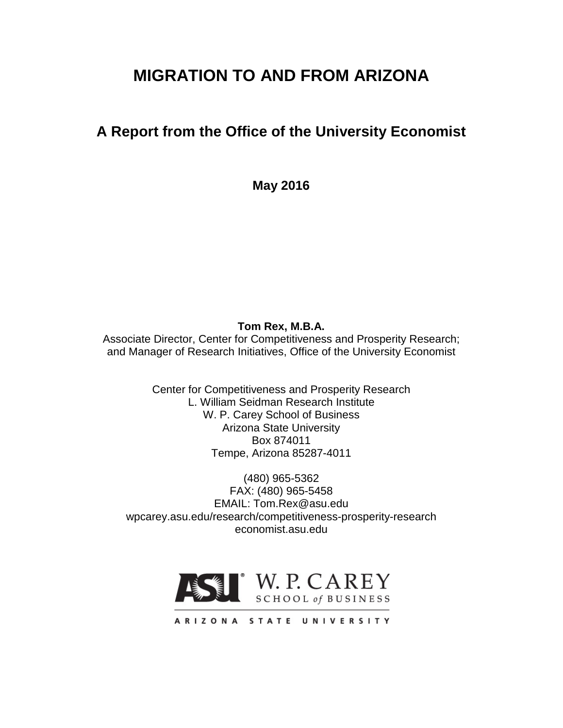# **MIGRATION TO AND FROM ARIZONA**

# **A Report from the Office of the University Economist**

**May 2016**

**Tom Rex, M.B.A.**

Associate Director, Center for Competitiveness and Prosperity Research; and Manager of Research Initiatives, Office of the University Economist

> Center for Competitiveness and Prosperity Research L. William Seidman Research Institute W. P. Carey School of Business Arizona State University Box 874011 Tempe, Arizona 85287-4011

(480) 965-5362 FAX: (480) 965-5458 EMAIL: Tom.Rex@asu.edu wpcarey.asu.edu/research/competitiveness-prosperity-research economist.asu.edu



ARIZONA STATE UNIVERSITY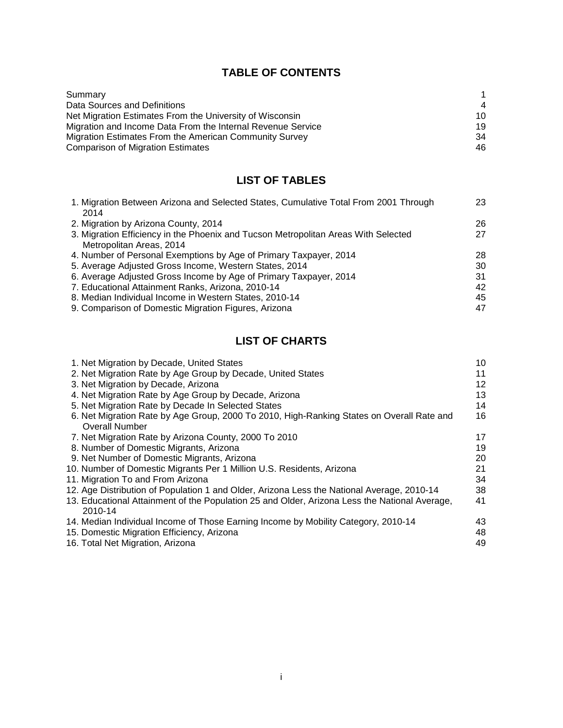# **TABLE OF CONTENTS**

| Summary                                                     |                |
|-------------------------------------------------------------|----------------|
| Data Sources and Definitions                                | $\overline{4}$ |
| Net Migration Estimates From the University of Wisconsin    | 10             |
| Migration and Income Data From the Internal Revenue Service | 19             |
| Migration Estimates From the American Community Survey      | 34             |
| <b>Comparison of Migration Estimates</b>                    | 46             |

# **LIST OF TABLES**

| 1. Migration Between Arizona and Selected States, Cumulative Total From 2001 Through | 23 |
|--------------------------------------------------------------------------------------|----|
| 2014                                                                                 |    |
| 2. Migration by Arizona County, 2014                                                 | 26 |
| 3. Migration Efficiency in the Phoenix and Tucson Metropolitan Areas With Selected   | 27 |
| Metropolitan Areas, 2014                                                             |    |
| 4. Number of Personal Exemptions by Age of Primary Taxpayer, 2014                    | 28 |
| 5. Average Adjusted Gross Income, Western States, 2014                               | 30 |
| 6. Average Adjusted Gross Income by Age of Primary Taxpayer, 2014                    | 31 |
| 7. Educational Attainment Ranks, Arizona, 2010-14                                    | 42 |
| 8. Median Individual Income in Western States, 2010-14                               | 45 |
| 9. Comparison of Domestic Migration Figures, Arizona                                 | 47 |
|                                                                                      |    |

# **LIST OF CHARTS**

| 1. Net Migration by Decade, United States                                                                | 10 |
|----------------------------------------------------------------------------------------------------------|----|
| 2. Net Migration Rate by Age Group by Decade, United States                                              | 11 |
| 3. Net Migration by Decade, Arizona                                                                      | 12 |
| 4. Net Migration Rate by Age Group by Decade, Arizona                                                    | 13 |
| 5. Net Migration Rate by Decade In Selected States                                                       | 14 |
| 6. Net Migration Rate by Age Group, 2000 To 2010, High-Ranking States on Overall Rate and                | 16 |
| <b>Overall Number</b>                                                                                    |    |
| 7. Net Migration Rate by Arizona County, 2000 To 2010                                                    | 17 |
| 8. Number of Domestic Migrants, Arizona                                                                  | 19 |
| 9. Net Number of Domestic Migrants, Arizona                                                              | 20 |
| 10. Number of Domestic Migrants Per 1 Million U.S. Residents, Arizona                                    | 21 |
| 11. Migration To and From Arizona                                                                        | 34 |
| 12. Age Distribution of Population 1 and Older, Arizona Less the National Average, 2010-14               | 38 |
| 13. Educational Attainment of the Population 25 and Older, Arizona Less the National Average,<br>2010-14 | 41 |
| 14. Median Individual Income of Those Earning Income by Mobility Category, 2010-14                       | 43 |
| 15. Domestic Migration Efficiency, Arizona                                                               | 48 |
| 16. Total Net Migration, Arizona                                                                         | 49 |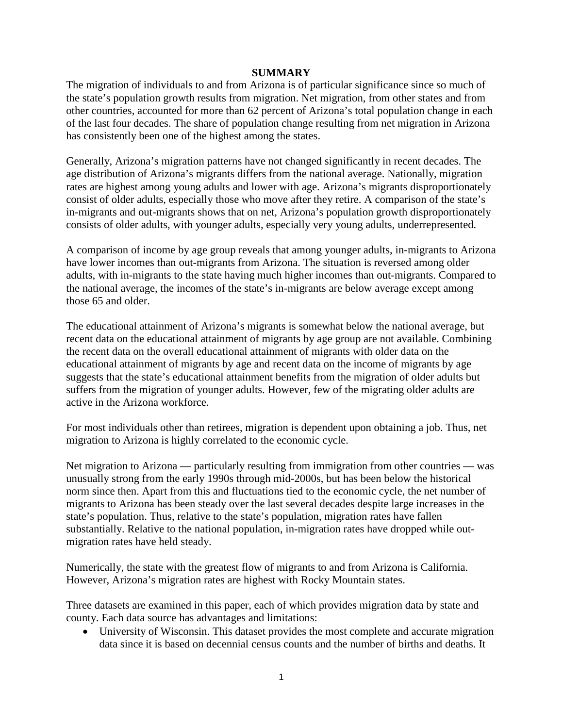#### **SUMMARY**

The migration of individuals to and from Arizona is of particular significance since so much of the state's population growth results from migration. Net migration, from other states and from other countries, accounted for more than 62 percent of Arizona's total population change in each of the last four decades. The share of population change resulting from net migration in Arizona has consistently been one of the highest among the states.

Generally, Arizona's migration patterns have not changed significantly in recent decades. The age distribution of Arizona's migrants differs from the national average. Nationally, migration rates are highest among young adults and lower with age. Arizona's migrants disproportionately consist of older adults, especially those who move after they retire. A comparison of the state's in-migrants and out-migrants shows that on net, Arizona's population growth disproportionately consists of older adults, with younger adults, especially very young adults, underrepresented.

A comparison of income by age group reveals that among younger adults, in-migrants to Arizona have lower incomes than out-migrants from Arizona. The situation is reversed among older adults, with in-migrants to the state having much higher incomes than out-migrants. Compared to the national average, the incomes of the state's in-migrants are below average except among those 65 and older.

The educational attainment of Arizona's migrants is somewhat below the national average, but recent data on the educational attainment of migrants by age group are not available. Combining the recent data on the overall educational attainment of migrants with older data on the educational attainment of migrants by age and recent data on the income of migrants by age suggests that the state's educational attainment benefits from the migration of older adults but suffers from the migration of younger adults. However, few of the migrating older adults are active in the Arizona workforce.

For most individuals other than retirees, migration is dependent upon obtaining a job. Thus, net migration to Arizona is highly correlated to the economic cycle.

Net migration to Arizona — particularly resulting from immigration from other countries — was unusually strong from the early 1990s through mid-2000s, but has been below the historical norm since then. Apart from this and fluctuations tied to the economic cycle, the net number of migrants to Arizona has been steady over the last several decades despite large increases in the state's population. Thus, relative to the state's population, migration rates have fallen substantially. Relative to the national population, in-migration rates have dropped while outmigration rates have held steady.

Numerically, the state with the greatest flow of migrants to and from Arizona is California. However, Arizona's migration rates are highest with Rocky Mountain states.

Three datasets are examined in this paper, each of which provides migration data by state and county. Each data source has advantages and limitations:

• University of Wisconsin. This dataset provides the most complete and accurate migration data since it is based on decennial census counts and the number of births and deaths. It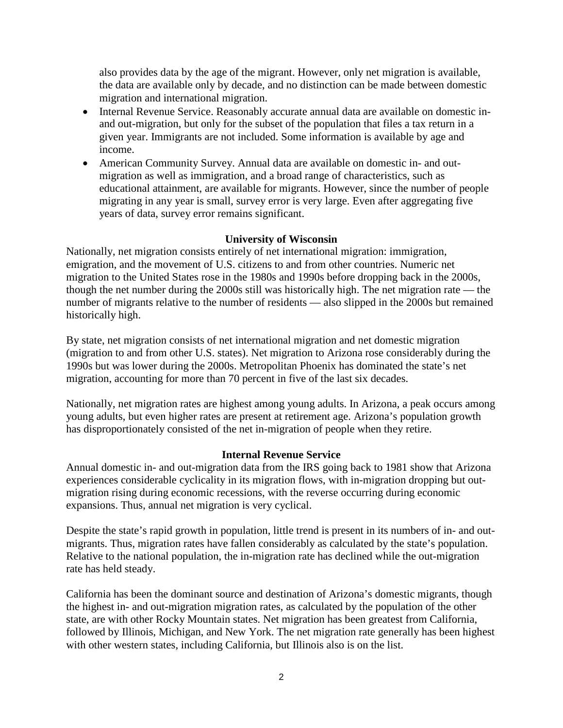also provides data by the age of the migrant. However, only net migration is available, the data are available only by decade, and no distinction can be made between domestic migration and international migration.

- Internal Revenue Service. Reasonably accurate annual data are available on domestic inand out-migration, but only for the subset of the population that files a tax return in a given year. Immigrants are not included. Some information is available by age and income.
- American Community Survey. Annual data are available on domestic in- and outmigration as well as immigration, and a broad range of characteristics, such as educational attainment, are available for migrants. However, since the number of people migrating in any year is small, survey error is very large. Even after aggregating five years of data, survey error remains significant.

# **University of Wisconsin**

Nationally, net migration consists entirely of net international migration: immigration, emigration, and the movement of U.S. citizens to and from other countries. Numeric net migration to the United States rose in the 1980s and 1990s before dropping back in the 2000s, though the net number during the 2000s still was historically high. The net migration rate — the number of migrants relative to the number of residents — also slipped in the 2000s but remained historically high.

By state, net migration consists of net international migration and net domestic migration (migration to and from other U.S. states). Net migration to Arizona rose considerably during the 1990s but was lower during the 2000s. Metropolitan Phoenix has dominated the state's net migration, accounting for more than 70 percent in five of the last six decades.

Nationally, net migration rates are highest among young adults. In Arizona, a peak occurs among young adults, but even higher rates are present at retirement age. Arizona's population growth has disproportionately consisted of the net in-migration of people when they retire.

# **Internal Revenue Service**

Annual domestic in- and out-migration data from the IRS going back to 1981 show that Arizona experiences considerable cyclicality in its migration flows, with in-migration dropping but outmigration rising during economic recessions, with the reverse occurring during economic expansions. Thus, annual net migration is very cyclical.

Despite the state's rapid growth in population, little trend is present in its numbers of in- and outmigrants. Thus, migration rates have fallen considerably as calculated by the state's population. Relative to the national population, the in-migration rate has declined while the out-migration rate has held steady.

California has been the dominant source and destination of Arizona's domestic migrants, though the highest in- and out-migration migration rates, as calculated by the population of the other state, are with other Rocky Mountain states. Net migration has been greatest from California, followed by Illinois, Michigan, and New York. The net migration rate generally has been highest with other western states, including California, but Illinois also is on the list.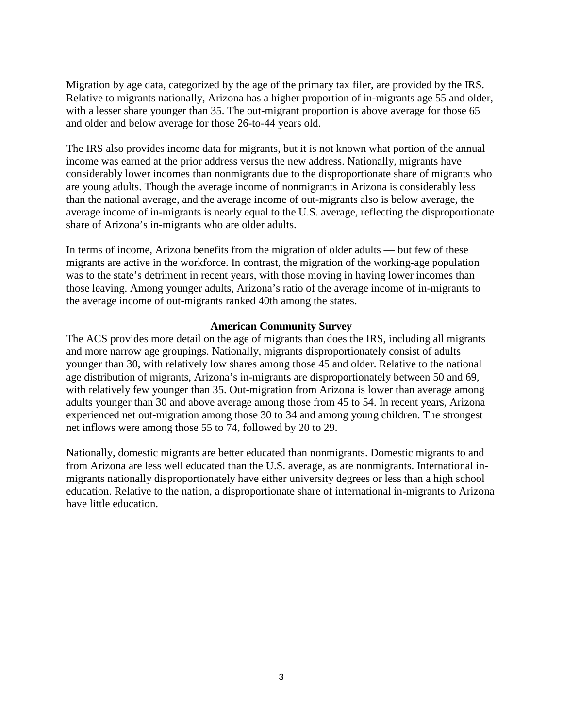Migration by age data, categorized by the age of the primary tax filer, are provided by the IRS. Relative to migrants nationally, Arizona has a higher proportion of in-migrants age 55 and older, with a lesser share younger than 35. The out-migrant proportion is above average for those 65 and older and below average for those 26-to-44 years old.

The IRS also provides income data for migrants, but it is not known what portion of the annual income was earned at the prior address versus the new address. Nationally, migrants have considerably lower incomes than nonmigrants due to the disproportionate share of migrants who are young adults. Though the average income of nonmigrants in Arizona is considerably less than the national average, and the average income of out-migrants also is below average, the average income of in-migrants is nearly equal to the U.S. average, reflecting the disproportionate share of Arizona's in-migrants who are older adults.

In terms of income, Arizona benefits from the migration of older adults — but few of these migrants are active in the workforce. In contrast, the migration of the working-age population was to the state's detriment in recent years, with those moving in having lower incomes than those leaving. Among younger adults, Arizona's ratio of the average income of in-migrants to the average income of out-migrants ranked 40th among the states.

#### **American Community Survey**

The ACS provides more detail on the age of migrants than does the IRS, including all migrants and more narrow age groupings. Nationally, migrants disproportionately consist of adults younger than 30, with relatively low shares among those 45 and older. Relative to the national age distribution of migrants, Arizona's in-migrants are disproportionately between 50 and 69, with relatively few younger than 35. Out-migration from Arizona is lower than average among adults younger than 30 and above average among those from 45 to 54. In recent years, Arizona experienced net out-migration among those 30 to 34 and among young children. The strongest net inflows were among those 55 to 74, followed by 20 to 29.

Nationally, domestic migrants are better educated than nonmigrants. Domestic migrants to and from Arizona are less well educated than the U.S. average, as are nonmigrants. International inmigrants nationally disproportionately have either university degrees or less than a high school education. Relative to the nation, a disproportionate share of international in-migrants to Arizona have little education.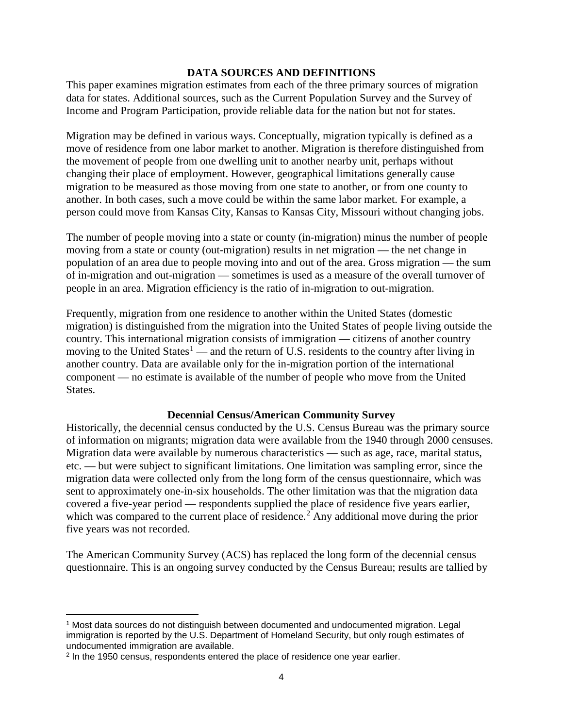### **DATA SOURCES AND DEFINITIONS**

This paper examines migration estimates from each of the three primary sources of migration data for states. Additional sources, such as the Current Population Survey and the Survey of Income and Program Participation, provide reliable data for the nation but not for states.

Migration may be defined in various ways. Conceptually, migration typically is defined as a move of residence from one labor market to another. Migration is therefore distinguished from the movement of people from one dwelling unit to another nearby unit, perhaps without changing their place of employment. However, geographical limitations generally cause migration to be measured as those moving from one state to another, or from one county to another. In both cases, such a move could be within the same labor market. For example, a person could move from Kansas City, Kansas to Kansas City, Missouri without changing jobs.

The number of people moving into a state or county (in-migration) minus the number of people moving from a state or county (out-migration) results in net migration — the net change in population of an area due to people moving into and out of the area. Gross migration — the sum of in-migration and out-migration — sometimes is used as a measure of the overall turnover of people in an area. Migration efficiency is the ratio of in-migration to out-migration.

Frequently, migration from one residence to another within the United States (domestic migration) is distinguished from the migration into the United States of people living outside the country. This international migration consists of immigration — citizens of another country moving to the United States<sup>[1](#page-5-0)</sup> — and the return of U.S. residents to the country after living in another country. Data are available only for the in-migration portion of the international component — no estimate is available of the number of people who move from the United States.

# **Decennial Census/American Community Survey**

Historically, the decennial census conducted by the U.S. Census Bureau was the primary source of information on migrants; migration data were available from the 1940 through 2000 censuses. Migration data were available by numerous characteristics — such as age, race, marital status, etc. — but were subject to significant limitations. One limitation was sampling error, since the migration data were collected only from the long form of the census questionnaire, which was sent to approximately one-in-six households. The other limitation was that the migration data covered a five-year period — respondents supplied the place of residence five years earlier, which was compared to the current place of residence.<sup>[2](#page-5-1)</sup> Any additional move during the prior five years was not recorded.

The American Community Survey (ACS) has replaced the long form of the decennial census questionnaire. This is an ongoing survey conducted by the Census Bureau; results are tallied by

<span id="page-5-0"></span>l <sup>1</sup> Most data sources do not distinguish between documented and undocumented migration. Legal immigration is reported by the U.S. Department of Homeland Security, but only rough estimates of undocumented immigration are available.

<span id="page-5-1"></span><sup>2</sup> In the 1950 census, respondents entered the place of residence one year earlier.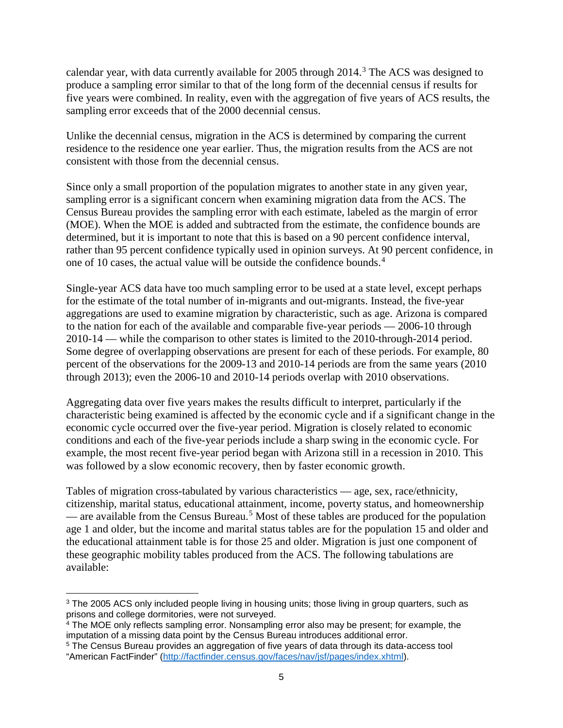calendar year, with data currently available for 2005 through  $2014$ .<sup>[3](#page-6-0)</sup> The ACS was designed to produce a sampling error similar to that of the long form of the decennial census if results for five years were combined. In reality, even with the aggregation of five years of ACS results, the sampling error exceeds that of the 2000 decennial census.

Unlike the decennial census, migration in the ACS is determined by comparing the current residence to the residence one year earlier. Thus, the migration results from the ACS are not consistent with those from the decennial census.

Since only a small proportion of the population migrates to another state in any given year, sampling error is a significant concern when examining migration data from the ACS. The Census Bureau provides the sampling error with each estimate, labeled as the margin of error (MOE). When the MOE is added and subtracted from the estimate, the confidence bounds are determined, but it is important to note that this is based on a 90 percent confidence interval, rather than 95 percent confidence typically used in opinion surveys. At 90 percent confidence, in one of 10 cases, the actual value will be outside the confidence bounds. [4](#page-6-1)

Single-year ACS data have too much sampling error to be used at a state level, except perhaps for the estimate of the total number of in-migrants and out-migrants. Instead, the five-year aggregations are used to examine migration by characteristic, such as age. Arizona is compared to the nation for each of the available and comparable five-year periods — 2006-10 through 2010-14 — while the comparison to other states is limited to the 2010-through-2014 period. Some degree of overlapping observations are present for each of these periods. For example, 80 percent of the observations for the 2009-13 and 2010-14 periods are from the same years (2010 through 2013); even the 2006-10 and 2010-14 periods overlap with 2010 observations.

Aggregating data over five years makes the results difficult to interpret, particularly if the characteristic being examined is affected by the economic cycle and if a significant change in the economic cycle occurred over the five-year period. Migration is closely related to economic conditions and each of the five-year periods include a sharp swing in the economic cycle. For example, the most recent five-year period began with Arizona still in a recession in 2010. This was followed by a slow economic recovery, then by faster economic growth.

Tables of migration cross-tabulated by various characteristics — age, sex, race/ethnicity, citizenship, marital status, educational attainment, income, poverty status, and homeownership — are available from the Census Bureau. [5](#page-6-2) Most of these tables are produced for the population age 1 and older, but the income and marital status tables are for the population 15 and older and the educational attainment table is for those 25 and older. Migration is just one component of these geographic mobility tables produced from the ACS. The following tabulations are available:

<span id="page-6-0"></span> $\overline{\phantom{a}}$ <sup>3</sup> The 2005 ACS only included people living in housing units; those living in group quarters, such as prisons and college dormitories, were not surveyed.

<span id="page-6-1"></span><sup>&</sup>lt;sup>4</sup> The MOE only reflects sampling error. Nonsampling error also may be present; for example, the imputation of a missing data point by the Census Bureau introduces additional error.

<span id="page-6-2"></span><sup>5</sup> The Census Bureau provides an aggregation of five years of data through its data-access tool "American FactFinder" [\(http://factfinder.census.gov/faces/nav/jsf/pages/index.xhtml\)](http://factfinder.census.gov/faces/nav/jsf/pages/index.xhtml).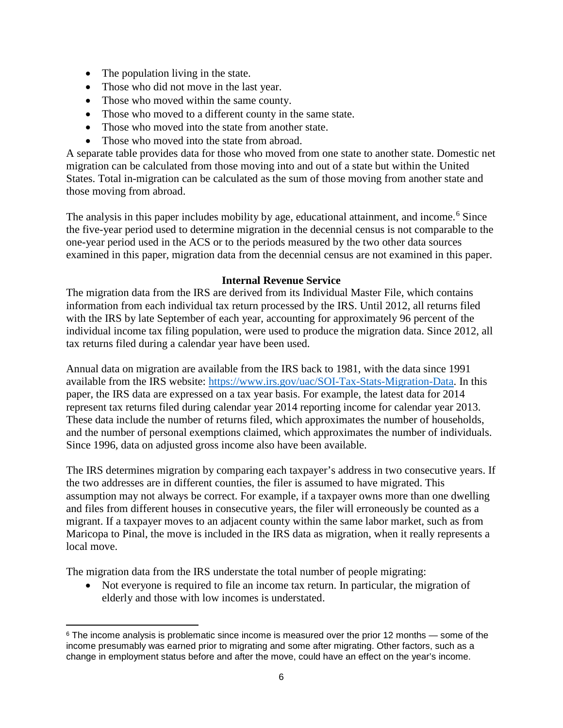- The population living in the state.
- Those who did not move in the last year.
- Those who moved within the same county.
- Those who moved to a different county in the same state.
- Those who moved into the state from another state.
- Those who moved into the state from abroad.

A separate table provides data for those who moved from one state to another state. Domestic net migration can be calculated from those moving into and out of a state but within the United States. Total in-migration can be calculated as the sum of those moving from another state and those moving from abroad.

The analysis in this paper includes mobility by age, educational attainment, and income.<sup>[6](#page-7-0)</sup> Since the five-year period used to determine migration in the decennial census is not comparable to the one-year period used in the ACS or to the periods measured by the two other data sources examined in this paper, migration data from the decennial census are not examined in this paper.

# **Internal Revenue Service**

The migration data from the IRS are derived from its Individual Master File, which contains information from each individual tax return processed by the IRS. Until 2012, all returns filed with the IRS by late September of each year, accounting for approximately 96 percent of the individual income tax filing population, were used to produce the migration data. Since 2012, all tax returns filed during a calendar year have been used.

Annual data on migration are available from the IRS back to 1981, with the data since 1991 available from the IRS website: [https://www.irs.gov/uac/SOI-Tax-Stats-Migration-Data.](https://www.irs.gov/uac/SOI-Tax-Stats-Migration-Data) In this paper, the IRS data are expressed on a tax year basis. For example, the latest data for 2014 represent tax returns filed during calendar year 2014 reporting income for calendar year 2013. These data include the number of returns filed, which approximates the number of households, and the number of personal exemptions claimed, which approximates the number of individuals. Since 1996, data on adjusted gross income also have been available.

The IRS determines migration by comparing each taxpayer's address in two consecutive years. If the two addresses are in different counties, the filer is assumed to have migrated. This assumption may not always be correct. For example, if a taxpayer owns more than one dwelling and files from different houses in consecutive years, the filer will erroneously be counted as a migrant. If a taxpayer moves to an adjacent county within the same labor market, such as from Maricopa to Pinal, the move is included in the IRS data as migration, when it really represents a local move.

The migration data from the IRS understate the total number of people migrating:

• Not everyone is required to file an income tax return. In particular, the migration of elderly and those with low incomes is understated.

<span id="page-7-0"></span> $\overline{\phantom{a}}$  $6$  The income analysis is problematic since income is measured over the prior 12 months — some of the income presumably was earned prior to migrating and some after migrating. Other factors, such as a change in employment status before and after the move, could have an effect on the year's income.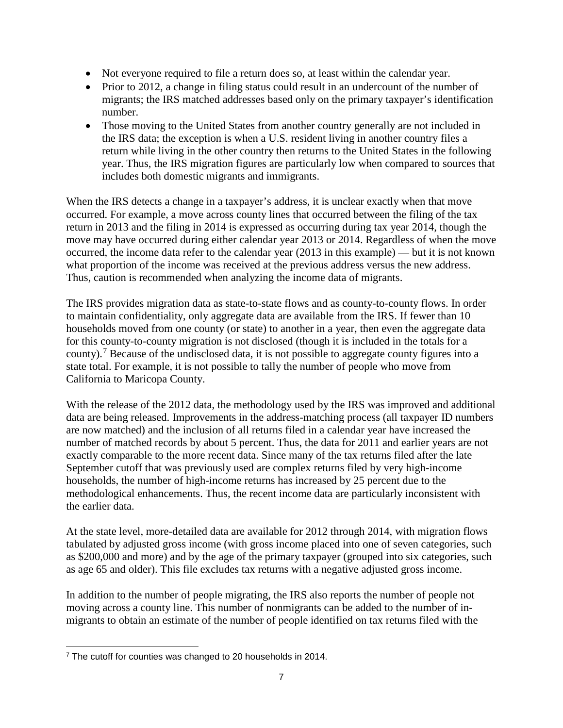- Not everyone required to file a return does so, at least within the calendar year.
- Prior to 2012, a change in filing status could result in an undercount of the number of migrants; the IRS matched addresses based only on the primary taxpayer's identification number.
- Those moving to the United States from another country generally are not included in the IRS data; the exception is when a U.S. resident living in another country files a return while living in the other country then returns to the United States in the following year. Thus, the IRS migration figures are particularly low when compared to sources that includes both domestic migrants and immigrants.

When the IRS detects a change in a taxpayer's address, it is unclear exactly when that move occurred. For example, a move across county lines that occurred between the filing of the tax return in 2013 and the filing in 2014 is expressed as occurring during tax year 2014, though the move may have occurred during either calendar year 2013 or 2014. Regardless of when the move occurred, the income data refer to the calendar year (2013 in this example) — but it is not known what proportion of the income was received at the previous address versus the new address. Thus, caution is recommended when analyzing the income data of migrants.

The IRS provides migration data as state-to-state flows and as county-to-county flows. In order to maintain confidentiality, only aggregate data are available from the IRS. If fewer than 10 households moved from one county (or state) to another in a year, then even the aggregate data for this county-to-county migration is not disclosed (though it is included in the totals for a county).[7](#page-8-0) Because of the undisclosed data, it is not possible to aggregate county figures into a state total. For example, it is not possible to tally the number of people who move from California to Maricopa County.

With the release of the 2012 data, the methodology used by the IRS was improved and additional data are being released. Improvements in the address-matching process (all taxpayer ID numbers are now matched) and the inclusion of all returns filed in a calendar year have increased the number of matched records by about 5 percent. Thus, the data for 2011 and earlier years are not exactly comparable to the more recent data. Since many of the tax returns filed after the late September cutoff that was previously used are complex returns filed by very high-income households, the number of high-income returns has increased by 25 percent due to the methodological enhancements. Thus, the recent income data are particularly inconsistent with the earlier data.

At the state level, more-detailed data are available for 2012 through 2014, with migration flows tabulated by adjusted gross income (with gross income placed into one of seven categories, such as \$200,000 and more) and by the age of the primary taxpayer (grouped into six categories, such as age 65 and older). This file excludes tax returns with a negative adjusted gross income.

In addition to the number of people migrating, the IRS also reports the number of people not moving across a county line. This number of nonmigrants can be added to the number of inmigrants to obtain an estimate of the number of people identified on tax returns filed with the

<span id="page-8-0"></span>l <sup>7</sup> The cutoff for counties was changed to 20 households in 2014.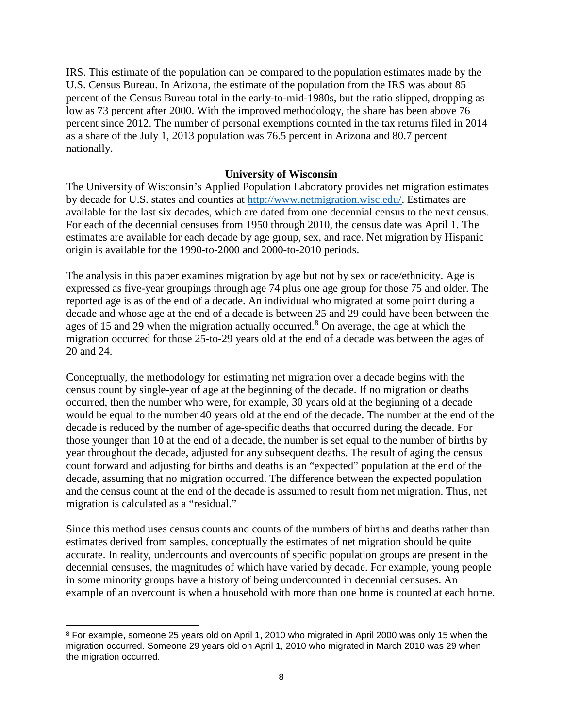IRS. This estimate of the population can be compared to the population estimates made by the U.S. Census Bureau. In Arizona, the estimate of the population from the IRS was about 85 percent of the Census Bureau total in the early-to-mid-1980s, but the ratio slipped, dropping as low as 73 percent after 2000. With the improved methodology, the share has been above 76 percent since 2012. The number of personal exemptions counted in the tax returns filed in 2014 as a share of the July 1, 2013 population was 76.5 percent in Arizona and 80.7 percent nationally.

### **University of Wisconsin**

The University of Wisconsin's Applied Population Laboratory provides net migration estimates by decade for U.S. states and counties at [http://www.netmigration.wisc.edu/.](http://www.netmigration.wisc.edu/) Estimates are available for the last six decades, which are dated from one decennial census to the next census. For each of the decennial censuses from 1950 through 2010, the census date was April 1. The estimates are available for each decade by age group, sex, and race. Net migration by Hispanic origin is available for the 1990-to-2000 and 2000-to-2010 periods.

The analysis in this paper examines migration by age but not by sex or race/ethnicity. Age is expressed as five-year groupings through age 74 plus one age group for those 75 and older. The reported age is as of the end of a decade. An individual who migrated at some point during a decade and whose age at the end of a decade is between 25 and 29 could have been between the ages of 15 and 29 when the migration actually occurred.<sup>[8](#page-9-0)</sup> On average, the age at which the migration occurred for those 25-to-29 years old at the end of a decade was between the ages of 20 and 24.

Conceptually, the methodology for estimating net migration over a decade begins with the census count by single-year of age at the beginning of the decade. If no migration or deaths occurred, then the number who were, for example, 30 years old at the beginning of a decade would be equal to the number 40 years old at the end of the decade. The number at the end of the decade is reduced by the number of age-specific deaths that occurred during the decade. For those younger than 10 at the end of a decade, the number is set equal to the number of births by year throughout the decade, adjusted for any subsequent deaths. The result of aging the census count forward and adjusting for births and deaths is an "expected" population at the end of the decade, assuming that no migration occurred. The difference between the expected population and the census count at the end of the decade is assumed to result from net migration. Thus, net migration is calculated as a "residual."

Since this method uses census counts and counts of the numbers of births and deaths rather than estimates derived from samples, conceptually the estimates of net migration should be quite accurate. In reality, undercounts and overcounts of specific population groups are present in the decennial censuses, the magnitudes of which have varied by decade. For example, young people in some minority groups have a history of being undercounted in decennial censuses. An example of an overcount is when a household with more than one home is counted at each home.

 $\overline{\phantom{a}}$ 

<span id="page-9-0"></span><sup>8</sup> For example, someone 25 years old on April 1, 2010 who migrated in April 2000 was only 15 when the migration occurred. Someone 29 years old on April 1, 2010 who migrated in March 2010 was 29 when the migration occurred.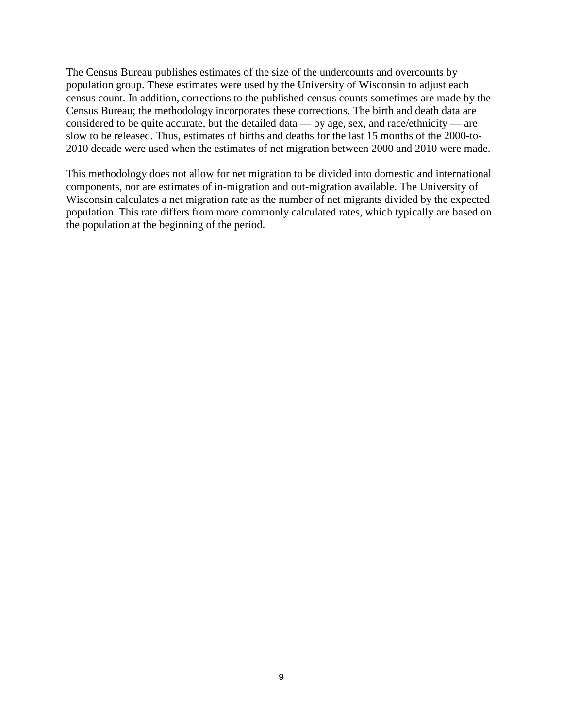The Census Bureau publishes estimates of the size of the undercounts and overcounts by population group. These estimates were used by the University of Wisconsin to adjust each census count. In addition, corrections to the published census counts sometimes are made by the Census Bureau; the methodology incorporates these corrections. The birth and death data are considered to be quite accurate, but the detailed data — by age, sex, and race/ethnicity — are slow to be released. Thus, estimates of births and deaths for the last 15 months of the 2000-to-2010 decade were used when the estimates of net migration between 2000 and 2010 were made.

This methodology does not allow for net migration to be divided into domestic and international components, nor are estimates of in-migration and out-migration available. The University of Wisconsin calculates a net migration rate as the number of net migrants divided by the expected population. This rate differs from more commonly calculated rates, which typically are based on the population at the beginning of the period.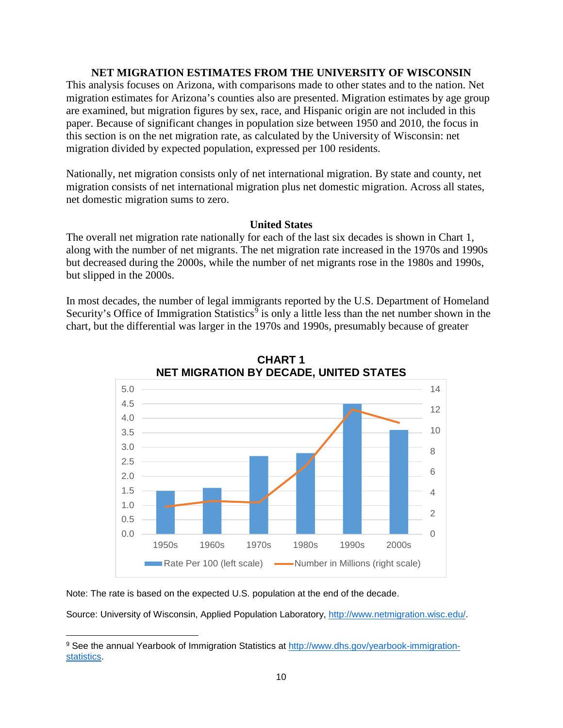#### **NET MIGRATION ESTIMATES FROM THE UNIVERSITY OF WISCONSIN**

This analysis focuses on Arizona, with comparisons made to other states and to the nation. Net migration estimates for Arizona's counties also are presented. Migration estimates by age group are examined, but migration figures by sex, race, and Hispanic origin are not included in this paper. Because of significant changes in population size between 1950 and 2010, the focus in this section is on the net migration rate, as calculated by the University of Wisconsin: net migration divided by expected population, expressed per 100 residents.

Nationally, net migration consists only of net international migration. By state and county, net migration consists of net international migration plus net domestic migration. Across all states, net domestic migration sums to zero.

#### **United States**

The overall net migration rate nationally for each of the last six decades is shown in Chart 1, along with the number of net migrants. The net migration rate increased in the 1970s and 1990s but decreased during the 2000s, while the number of net migrants rose in the 1980s and 1990s, but slipped in the 2000s.

In most decades, the number of legal immigrants reported by the U.S. Department of Homeland Security's Office of Immigration Statistics<sup>[9](#page-11-0)</sup> is only a little less than the net number shown in the chart, but the differential was larger in the 1970s and 1990s, presumably because of greater



**CHART 1 NET MIGRATION BY DECADE, UNITED STATES**

Note: The rate is based on the expected U.S. population at the end of the decade.

l

<span id="page-11-0"></span><sup>9</sup> See the annual Yearbook of Immigration Statistics at [http://www.dhs.gov/yearbook-immigration](http://www.dhs.gov/yearbook-immigration-statistics)[statistics.](http://www.dhs.gov/yearbook-immigration-statistics)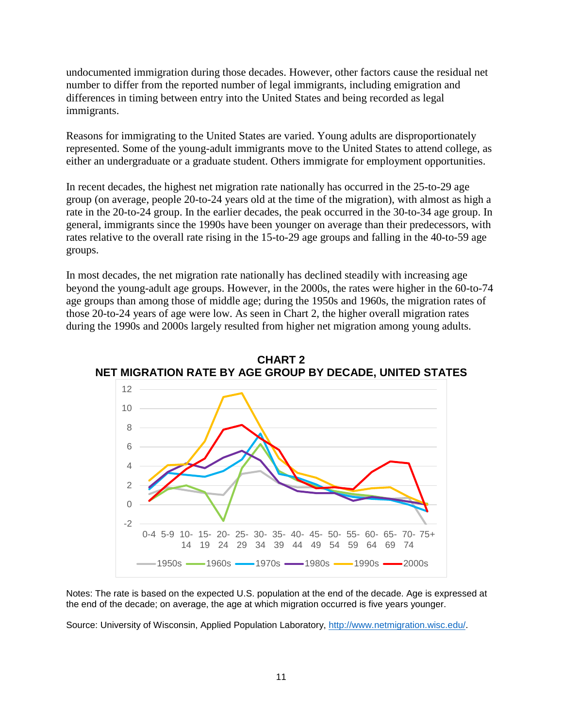undocumented immigration during those decades. However, other factors cause the residual net number to differ from the reported number of legal immigrants, including emigration and differences in timing between entry into the United States and being recorded as legal immigrants.

Reasons for immigrating to the United States are varied. Young adults are disproportionately represented. Some of the young-adult immigrants move to the United States to attend college, as either an undergraduate or a graduate student. Others immigrate for employment opportunities.

In recent decades, the highest net migration rate nationally has occurred in the 25-to-29 age group (on average, people 20-to-24 years old at the time of the migration), with almost as high a rate in the 20-to-24 group. In the earlier decades, the peak occurred in the 30-to-34 age group. In general, immigrants since the 1990s have been younger on average than their predecessors, with rates relative to the overall rate rising in the 15-to-29 age groups and falling in the 40-to-59 age groups.

In most decades, the net migration rate nationally has declined steadily with increasing age beyond the young-adult age groups. However, in the 2000s, the rates were higher in the 60-to-74 age groups than among those of middle age; during the 1950s and 1960s, the migration rates of those 20-to-24 years of age were low. As seen in Chart 2, the higher overall migration rates during the 1990s and 2000s largely resulted from higher net migration among young adults.



**CHART 2 NET MIGRATION RATE BY AGE GROUP BY DECADE, UNITED STATES**

Notes: The rate is based on the expected U.S. population at the end of the decade. Age is expressed at the end of the decade; on average, the age at which migration occurred is five years younger.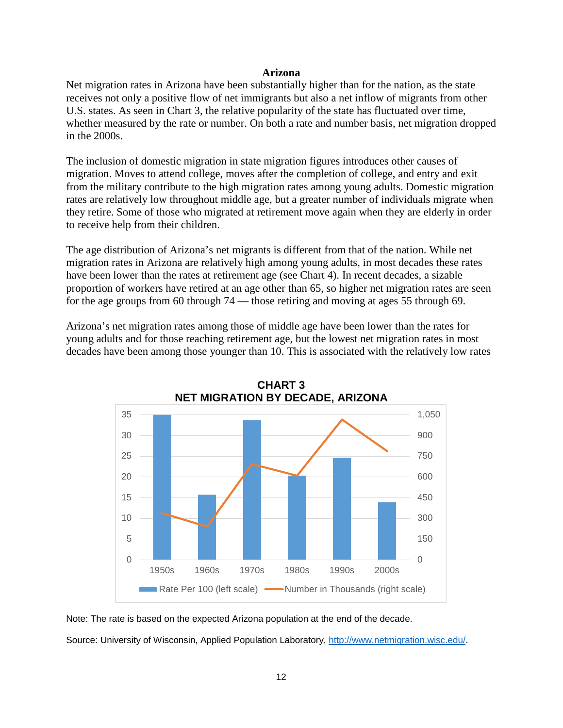#### **Arizona**

Net migration rates in Arizona have been substantially higher than for the nation, as the state receives not only a positive flow of net immigrants but also a net inflow of migrants from other U.S. states. As seen in Chart 3, the relative popularity of the state has fluctuated over time, whether measured by the rate or number. On both a rate and number basis, net migration dropped in the 2000s.

The inclusion of domestic migration in state migration figures introduces other causes of migration. Moves to attend college, moves after the completion of college, and entry and exit from the military contribute to the high migration rates among young adults. Domestic migration rates are relatively low throughout middle age, but a greater number of individuals migrate when they retire. Some of those who migrated at retirement move again when they are elderly in order to receive help from their children.

The age distribution of Arizona's net migrants is different from that of the nation. While net migration rates in Arizona are relatively high among young adults, in most decades these rates have been lower than the rates at retirement age (see Chart 4). In recent decades, a sizable proportion of workers have retired at an age other than 65, so higher net migration rates are seen for the age groups from 60 through 74 — those retiring and moving at ages 55 through 69.

Arizona's net migration rates among those of middle age have been lower than the rates for young adults and for those reaching retirement age, but the lowest net migration rates in most decades have been among those younger than 10. This is associated with the relatively low rates





Note: The rate is based on the expected Arizona population at the end of the decade.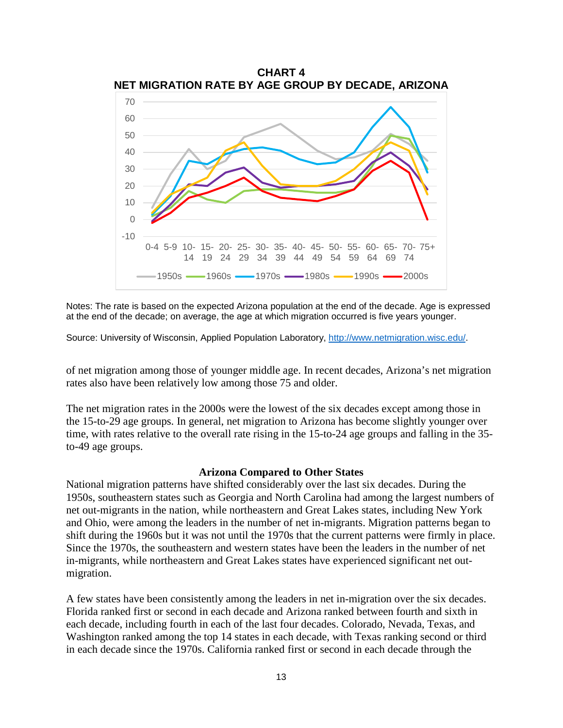

Notes: The rate is based on the expected Arizona population at the end of the decade. Age is expressed at the end of the decade; on average, the age at which migration occurred is five years younger.

Source: University of Wisconsin, Applied Population Laboratory, [http://www.netmigration.wisc.edu/.](http://www.netmigration.wisc.edu/)

of net migration among those of younger middle age. In recent decades, Arizona's net migration rates also have been relatively low among those 75 and older.

The net migration rates in the 2000s were the lowest of the six decades except among those in the 15-to-29 age groups. In general, net migration to Arizona has become slightly younger over time, with rates relative to the overall rate rising in the 15-to-24 age groups and falling in the 35 to-49 age groups.

#### **Arizona Compared to Other States**

National migration patterns have shifted considerably over the last six decades. During the 1950s, southeastern states such as Georgia and North Carolina had among the largest numbers of net out-migrants in the nation, while northeastern and Great Lakes states, including New York and Ohio, were among the leaders in the number of net in-migrants. Migration patterns began to shift during the 1960s but it was not until the 1970s that the current patterns were firmly in place. Since the 1970s, the southeastern and western states have been the leaders in the number of net in-migrants, while northeastern and Great Lakes states have experienced significant net outmigration.

A few states have been consistently among the leaders in net in-migration over the six decades. Florida ranked first or second in each decade and Arizona ranked between fourth and sixth in each decade, including fourth in each of the last four decades. Colorado, Nevada, Texas, and Washington ranked among the top 14 states in each decade, with Texas ranking second or third in each decade since the 1970s. California ranked first or second in each decade through the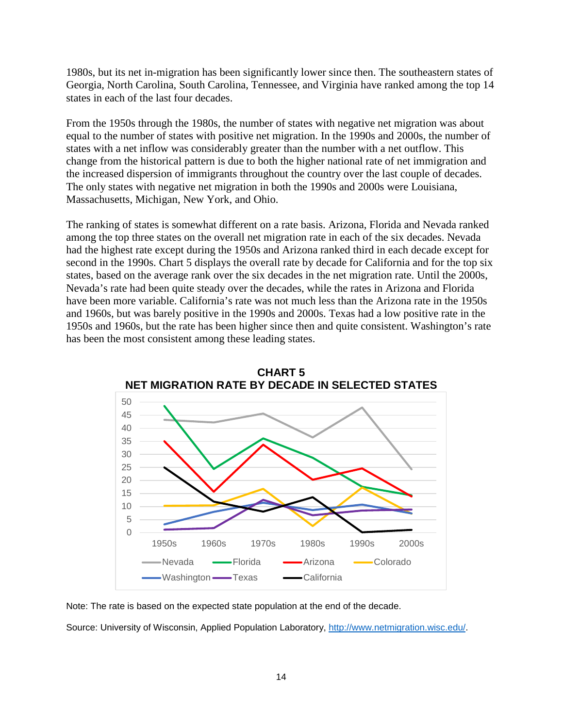1980s, but its net in-migration has been significantly lower since then. The southeastern states of Georgia, North Carolina, South Carolina, Tennessee, and Virginia have ranked among the top 14 states in each of the last four decades.

From the 1950s through the 1980s, the number of states with negative net migration was about equal to the number of states with positive net migration. In the 1990s and 2000s, the number of states with a net inflow was considerably greater than the number with a net outflow. This change from the historical pattern is due to both the higher national rate of net immigration and the increased dispersion of immigrants throughout the country over the last couple of decades. The only states with negative net migration in both the 1990s and 2000s were Louisiana, Massachusetts, Michigan, New York, and Ohio.

The ranking of states is somewhat different on a rate basis. Arizona, Florida and Nevada ranked among the top three states on the overall net migration rate in each of the six decades. Nevada had the highest rate except during the 1950s and Arizona ranked third in each decade except for second in the 1990s. Chart 5 displays the overall rate by decade for California and for the top six states, based on the average rank over the six decades in the net migration rate. Until the 2000s, Nevada's rate had been quite steady over the decades, while the rates in Arizona and Florida have been more variable. California's rate was not much less than the Arizona rate in the 1950s and 1960s, but was barely positive in the 1990s and 2000s. Texas had a low positive rate in the 1950s and 1960s, but the rate has been higher since then and quite consistent. Washington's rate has been the most consistent among these leading states.



Note: The rate is based on the expected state population at the end of the decade.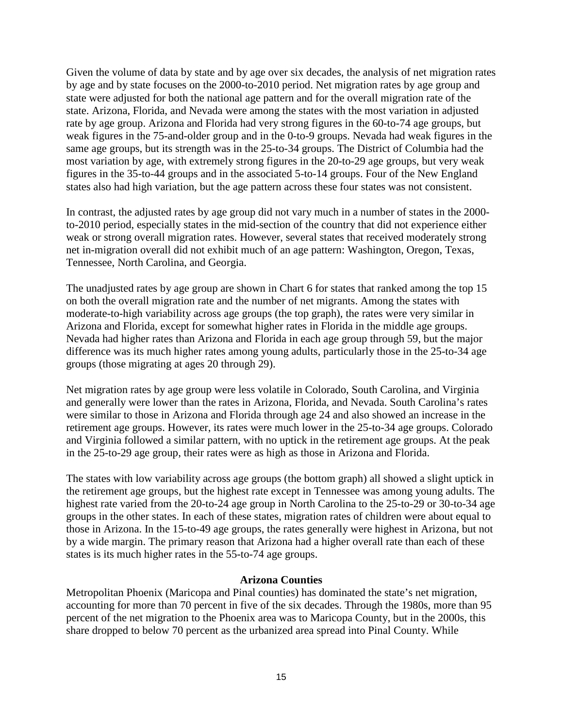Given the volume of data by state and by age over six decades, the analysis of net migration rates by age and by state focuses on the 2000-to-2010 period. Net migration rates by age group and state were adjusted for both the national age pattern and for the overall migration rate of the state. Arizona, Florida, and Nevada were among the states with the most variation in adjusted rate by age group. Arizona and Florida had very strong figures in the 60-to-74 age groups, but weak figures in the 75-and-older group and in the 0-to-9 groups. Nevada had weak figures in the same age groups, but its strength was in the 25-to-34 groups. The District of Columbia had the most variation by age, with extremely strong figures in the 20-to-29 age groups, but very weak figures in the 35-to-44 groups and in the associated 5-to-14 groups. Four of the New England states also had high variation, but the age pattern across these four states was not consistent.

In contrast, the adjusted rates by age group did not vary much in a number of states in the 2000 to-2010 period, especially states in the mid-section of the country that did not experience either weak or strong overall migration rates. However, several states that received moderately strong net in-migration overall did not exhibit much of an age pattern: Washington, Oregon, Texas, Tennessee, North Carolina, and Georgia.

The unadjusted rates by age group are shown in Chart 6 for states that ranked among the top 15 on both the overall migration rate and the number of net migrants. Among the states with moderate-to-high variability across age groups (the top graph), the rates were very similar in Arizona and Florida, except for somewhat higher rates in Florida in the middle age groups. Nevada had higher rates than Arizona and Florida in each age group through 59, but the major difference was its much higher rates among young adults, particularly those in the 25-to-34 age groups (those migrating at ages 20 through 29).

Net migration rates by age group were less volatile in Colorado, South Carolina, and Virginia and generally were lower than the rates in Arizona, Florida, and Nevada. South Carolina's rates were similar to those in Arizona and Florida through age 24 and also showed an increase in the retirement age groups. However, its rates were much lower in the 25-to-34 age groups. Colorado and Virginia followed a similar pattern, with no uptick in the retirement age groups. At the peak in the 25-to-29 age group, their rates were as high as those in Arizona and Florida.

The states with low variability across age groups (the bottom graph) all showed a slight uptick in the retirement age groups, but the highest rate except in Tennessee was among young adults. The highest rate varied from the 20-to-24 age group in North Carolina to the 25-to-29 or 30-to-34 age groups in the other states. In each of these states, migration rates of children were about equal to those in Arizona. In the 15-to-49 age groups, the rates generally were highest in Arizona, but not by a wide margin. The primary reason that Arizona had a higher overall rate than each of these states is its much higher rates in the 55-to-74 age groups.

#### **Arizona Counties**

Metropolitan Phoenix (Maricopa and Pinal counties) has dominated the state's net migration, accounting for more than 70 percent in five of the six decades. Through the 1980s, more than 95 percent of the net migration to the Phoenix area was to Maricopa County, but in the 2000s, this share dropped to below 70 percent as the urbanized area spread into Pinal County. While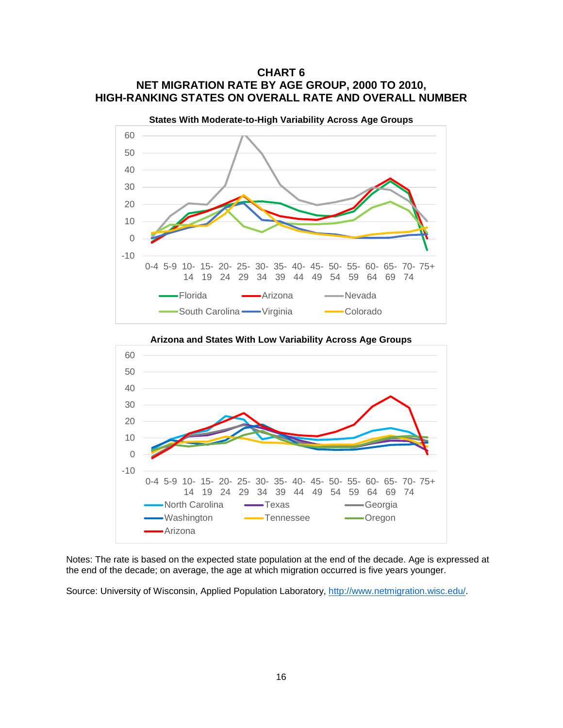# **CHART 6 NET MIGRATION RATE BY AGE GROUP, 2000 TO 2010, HIGH-RANKING STATES ON OVERALL RATE AND OVERALL NUMBER**





**Arizona and States With Low Variability Across Age Groups**

Notes: The rate is based on the expected state population at the end of the decade. Age is expressed at the end of the decade; on average, the age at which migration occurred is five years younger.

Source: University of Wisconsin, Applied Population Laboratory, [http://www.netmigration.wisc.edu/.](http://www.netmigration.wisc.edu/)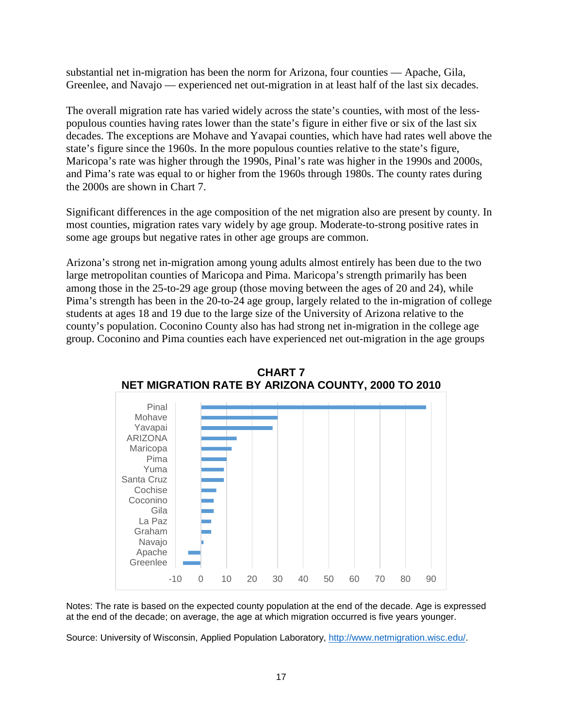substantial net in-migration has been the norm for Arizona, four counties — Apache, Gila, Greenlee, and Navajo — experienced net out-migration in at least half of the last six decades.

The overall migration rate has varied widely across the state's counties, with most of the lesspopulous counties having rates lower than the state's figure in either five or six of the last six decades. The exceptions are Mohave and Yavapai counties, which have had rates well above the state's figure since the 1960s. In the more populous counties relative to the state's figure, Maricopa's rate was higher through the 1990s, Pinal's rate was higher in the 1990s and 2000s, and Pima's rate was equal to or higher from the 1960s through 1980s. The county rates during the 2000s are shown in Chart 7.

Significant differences in the age composition of the net migration also are present by county. In most counties, migration rates vary widely by age group. Moderate-to-strong positive rates in some age groups but negative rates in other age groups are common.

Arizona's strong net in-migration among young adults almost entirely has been due to the two large metropolitan counties of Maricopa and Pima. Maricopa's strength primarily has been among those in the 25-to-29 age group (those moving between the ages of 20 and 24), while Pima's strength has been in the 20-to-24 age group, largely related to the in-migration of college students at ages 18 and 19 due to the large size of the University of Arizona relative to the county's population. Coconino County also has had strong net in-migration in the college age group. Coconino and Pima counties each have experienced net out-migration in the age groups





Notes: The rate is based on the expected county population at the end of the decade. Age is expressed at the end of the decade; on average, the age at which migration occurred is five years younger.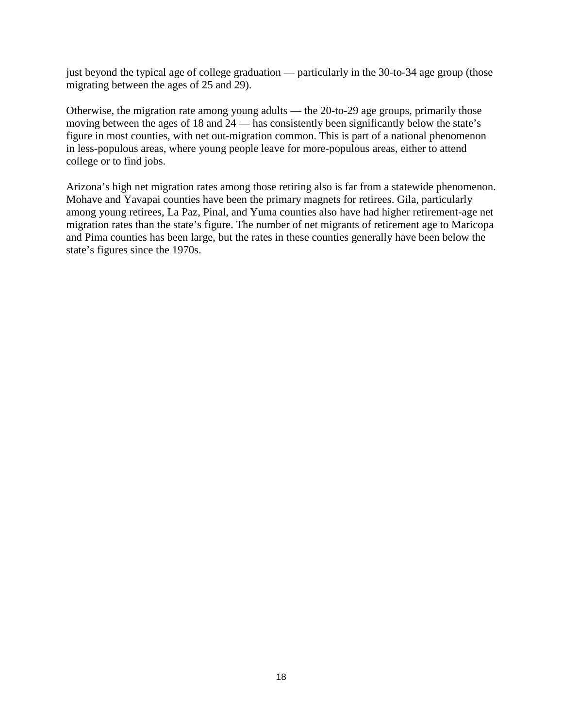just beyond the typical age of college graduation — particularly in the 30-to-34 age group (those migrating between the ages of 25 and 29).

Otherwise, the migration rate among young adults — the 20-to-29 age groups, primarily those moving between the ages of 18 and 24 — has consistently been significantly below the state's figure in most counties, with net out-migration common. This is part of a national phenomenon in less-populous areas, where young people leave for more-populous areas, either to attend college or to find jobs.

Arizona's high net migration rates among those retiring also is far from a statewide phenomenon. Mohave and Yavapai counties have been the primary magnets for retirees. Gila, particularly among young retirees, La Paz, Pinal, and Yuma counties also have had higher retirement-age net migration rates than the state's figure. The number of net migrants of retirement age to Maricopa and Pima counties has been large, but the rates in these counties generally have been below the state's figures since the 1970s.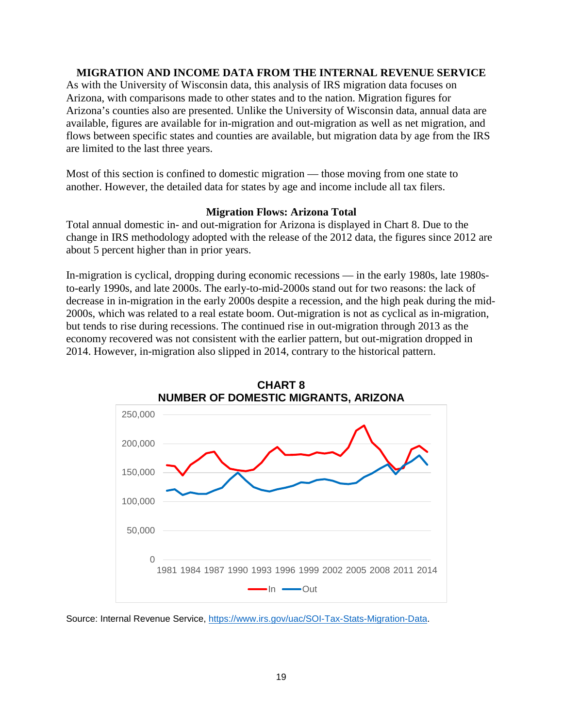#### **MIGRATION AND INCOME DATA FROM THE INTERNAL REVENUE SERVICE**

As with the University of Wisconsin data, this analysis of IRS migration data focuses on Arizona, with comparisons made to other states and to the nation. Migration figures for Arizona's counties also are presented. Unlike the University of Wisconsin data, annual data are available, figures are available for in-migration and out-migration as well as net migration, and flows between specific states and counties are available, but migration data by age from the IRS are limited to the last three years.

Most of this section is confined to domestic migration — those moving from one state to another. However, the detailed data for states by age and income include all tax filers.

#### **Migration Flows: Arizona Total**

Total annual domestic in- and out-migration for Arizona is displayed in Chart 8. Due to the change in IRS methodology adopted with the release of the 2012 data, the figures since 2012 are about 5 percent higher than in prior years.

In-migration is cyclical, dropping during economic recessions — in the early 1980s, late 1980sto-early 1990s, and late 2000s. The early-to-mid-2000s stand out for two reasons: the lack of decrease in in-migration in the early 2000s despite a recession, and the high peak during the mid-2000s, which was related to a real estate boom. Out-migration is not as cyclical as in-migration, but tends to rise during recessions. The continued rise in out-migration through 2013 as the economy recovered was not consistent with the earlier pattern, but out-migration dropped in 2014. However, in-migration also slipped in 2014, contrary to the historical pattern.



**CHART 8**

Source: Internal Revenue Service, [https://www.irs.gov/uac/SOI-Tax-Stats-Migration-Data.](https://www.irs.gov/uac/SOI-Tax-Stats-Migration-Data)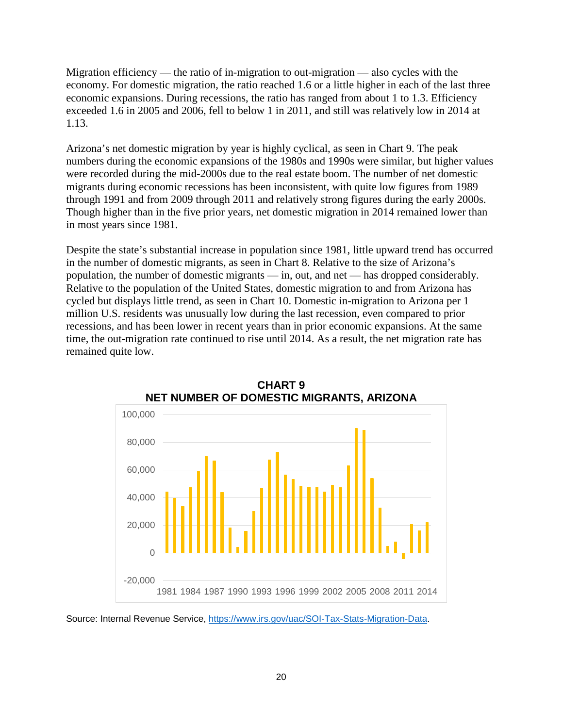Migration efficiency — the ratio of in-migration to out-migration — also cycles with the economy. For domestic migration, the ratio reached 1.6 or a little higher in each of the last three economic expansions. During recessions, the ratio has ranged from about 1 to 1.3. Efficiency exceeded 1.6 in 2005 and 2006, fell to below 1 in 2011, and still was relatively low in 2014 at 1.13.

Arizona's net domestic migration by year is highly cyclical, as seen in Chart 9. The peak numbers during the economic expansions of the 1980s and 1990s were similar, but higher values were recorded during the mid-2000s due to the real estate boom. The number of net domestic migrants during economic recessions has been inconsistent, with quite low figures from 1989 through 1991 and from 2009 through 2011 and relatively strong figures during the early 2000s. Though higher than in the five prior years, net domestic migration in 2014 remained lower than in most years since 1981.

Despite the state's substantial increase in population since 1981, little upward trend has occurred in the number of domestic migrants, as seen in Chart 8. Relative to the size of Arizona's population, the number of domestic migrants — in, out, and net — has dropped considerably. Relative to the population of the United States, domestic migration to and from Arizona has cycled but displays little trend, as seen in Chart 10. Domestic in-migration to Arizona per 1 million U.S. residents was unusually low during the last recession, even compared to prior recessions, and has been lower in recent years than in prior economic expansions. At the same time, the out-migration rate continued to rise until 2014. As a result, the net migration rate has remained quite low.





Source: Internal Revenue Service, [https://www.irs.gov/uac/SOI-Tax-Stats-Migration-Data.](https://www.irs.gov/uac/SOI-Tax-Stats-Migration-Data)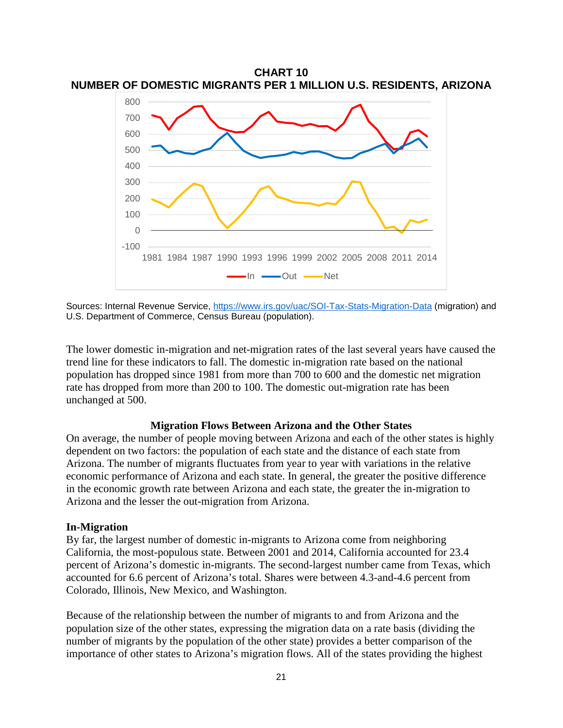

Sources: Internal Revenue Service,<https://www.irs.gov/uac/SOI-Tax-Stats-Migration-Data> (migration) and U.S. Department of Commerce, Census Bureau (population).

The lower domestic in-migration and net-migration rates of the last several years have caused the trend line for these indicators to fall. The domestic in-migration rate based on the national population has dropped since 1981 from more than 700 to 600 and the domestic net migration rate has dropped from more than 200 to 100. The domestic out-migration rate has been unchanged at 500.

#### **Migration Flows Between Arizona and the Other States**

On average, the number of people moving between Arizona and each of the other states is highly dependent on two factors: the population of each state and the distance of each state from Arizona. The number of migrants fluctuates from year to year with variations in the relative economic performance of Arizona and each state. In general, the greater the positive difference in the economic growth rate between Arizona and each state, the greater the in-migration to Arizona and the lesser the out-migration from Arizona.

#### **In-Migration**

By far, the largest number of domestic in-migrants to Arizona come from neighboring California, the most-populous state. Between 2001 and 2014, California accounted for 23.4 percent of Arizona's domestic in-migrants. The second-largest number came from Texas, which accounted for 6.6 percent of Arizona's total. Shares were between 4.3-and-4.6 percent from Colorado, Illinois, New Mexico, and Washington.

Because of the relationship between the number of migrants to and from Arizona and the population size of the other states, expressing the migration data on a rate basis (dividing the number of migrants by the population of the other state) provides a better comparison of the importance of other states to Arizona's migration flows. All of the states providing the highest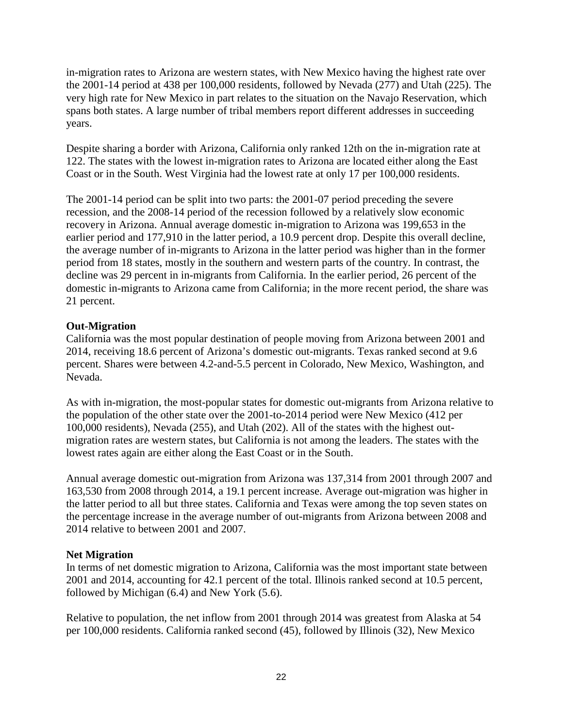in-migration rates to Arizona are western states, with New Mexico having the highest rate over the 2001-14 period at 438 per 100,000 residents, followed by Nevada (277) and Utah (225). The very high rate for New Mexico in part relates to the situation on the Navajo Reservation, which spans both states. A large number of tribal members report different addresses in succeeding years.

Despite sharing a border with Arizona, California only ranked 12th on the in-migration rate at 122. The states with the lowest in-migration rates to Arizona are located either along the East Coast or in the South. West Virginia had the lowest rate at only 17 per 100,000 residents.

The 2001-14 period can be split into two parts: the 2001-07 period preceding the severe recession, and the 2008-14 period of the recession followed by a relatively slow economic recovery in Arizona. Annual average domestic in-migration to Arizona was 199,653 in the earlier period and 177,910 in the latter period, a 10.9 percent drop. Despite this overall decline, the average number of in-migrants to Arizona in the latter period was higher than in the former period from 18 states, mostly in the southern and western parts of the country. In contrast, the decline was 29 percent in in-migrants from California. In the earlier period, 26 percent of the domestic in-migrants to Arizona came from California; in the more recent period, the share was 21 percent.

# **Out-Migration**

California was the most popular destination of people moving from Arizona between 2001 and 2014, receiving 18.6 percent of Arizona's domestic out-migrants. Texas ranked second at 9.6 percent. Shares were between 4.2-and-5.5 percent in Colorado, New Mexico, Washington, and Nevada.

As with in-migration, the most-popular states for domestic out-migrants from Arizona relative to the population of the other state over the 2001-to-2014 period were New Mexico (412 per 100,000 residents), Nevada (255), and Utah (202). All of the states with the highest outmigration rates are western states, but California is not among the leaders. The states with the lowest rates again are either along the East Coast or in the South.

Annual average domestic out-migration from Arizona was 137,314 from 2001 through 2007 and 163,530 from 2008 through 2014, a 19.1 percent increase. Average out-migration was higher in the latter period to all but three states. California and Texas were among the top seven states on the percentage increase in the average number of out-migrants from Arizona between 2008 and 2014 relative to between 2001 and 2007.

# **Net Migration**

In terms of net domestic migration to Arizona, California was the most important state between 2001 and 2014, accounting for 42.1 percent of the total. Illinois ranked second at 10.5 percent, followed by Michigan (6.4) and New York (5.6).

Relative to population, the net inflow from 2001 through 2014 was greatest from Alaska at 54 per 100,000 residents. California ranked second (45), followed by Illinois (32), New Mexico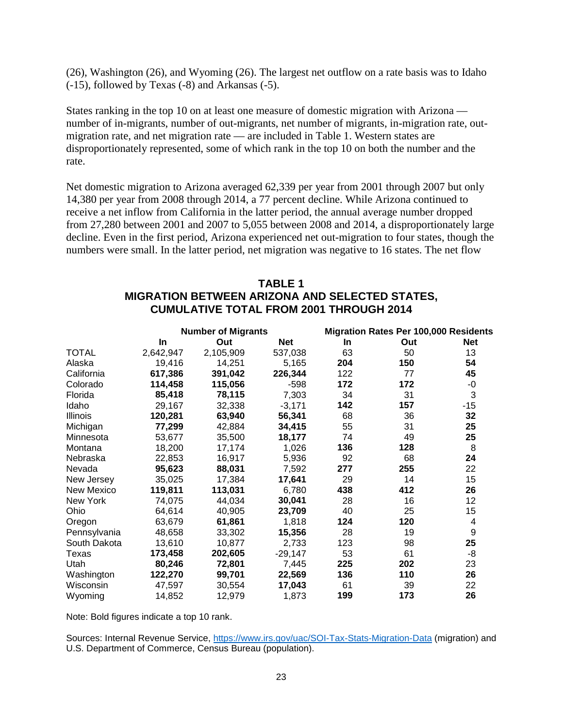(26), Washington (26), and Wyoming (26). The largest net outflow on a rate basis was to Idaho (-15), followed by Texas (-8) and Arkansas (-5).

States ranking in the top 10 on at least one measure of domestic migration with Arizona number of in-migrants, number of out-migrants, net number of migrants, in-migration rate, outmigration rate, and net migration rate — are included in Table 1. Western states are disproportionately represented, some of which rank in the top 10 on both the number and the rate.

Net domestic migration to Arizona averaged 62,339 per year from 2001 through 2007 but only 14,380 per year from 2008 through 2014, a 77 percent decline. While Arizona continued to receive a net inflow from California in the latter period, the annual average number dropped from 27,280 between 2001 and 2007 to 5,055 between 2008 and 2014, a disproportionately large decline. Even in the first period, Arizona experienced net out-migration to four states, though the numbers were small. In the latter period, net migration was negative to 16 states. The net flow

# **TABLE 1 MIGRATION BETWEEN ARIZONA AND SELECTED STATES, CUMULATIVE TOTAL FROM 2001 THROUGH 2014**

|              |           | <b>Number of Migrants</b> |            | <b>Migration Rates Per 100,000 Residents</b> |     |            |  |  |
|--------------|-----------|---------------------------|------------|----------------------------------------------|-----|------------|--|--|
|              | In        | Out                       | <b>Net</b> | <b>In</b>                                    | Out | <b>Net</b> |  |  |
| <b>TOTAL</b> | 2,642,947 | 2,105,909                 | 537,038    | 63                                           | 50  | 13         |  |  |
| Alaska       | 19,416    | 14,251                    | 5,165      | 204                                          | 150 | 54         |  |  |
| California   | 617,386   | 391,042                   | 226,344    | 122                                          | 77  | 45         |  |  |
| Colorado     | 114,458   | 115,056                   | $-598$     | 172                                          | 172 | -0         |  |  |
| Florida      | 85,418    | 78,115                    | 7,303      | 34                                           | 31  | 3          |  |  |
| Idaho        | 29,167    | 32,338                    | $-3,171$   | 142                                          | 157 | $-15$      |  |  |
| Illinois     | 120,281   | 63,940                    | 56,341     | 68                                           | 36  | 32         |  |  |
| Michigan     | 77,299    | 42,884                    | 34,415     | 55                                           | 31  | 25         |  |  |
| Minnesota    | 53,677    | 35,500                    | 18,177     | 74                                           | 49  | 25         |  |  |
| Montana      | 18,200    | 17,174                    | 1,026      | 136                                          | 128 | 8          |  |  |
| Nebraska     | 22,853    | 16,917                    | 5,936      | 92                                           | 68  | 24         |  |  |
| Nevada       | 95,623    | 88,031                    | 7,592      | 277                                          | 255 | 22         |  |  |
| New Jersey   | 35,025    | 17,384                    | 17,641     | 29                                           | 14  | 15         |  |  |
| New Mexico   | 119,811   | 113,031                   | 6,780      | 438                                          | 412 | 26         |  |  |
| New York     | 74,075    | 44,034                    | 30,041     | 28                                           | 16  | 12         |  |  |
| Ohio         | 64,614    | 40,905                    | 23,709     | 40                                           | 25  | 15         |  |  |
| Oregon       | 63,679    | 61,861                    | 1,818      | 124                                          | 120 | 4          |  |  |
| Pennsylvania | 48,658    | 33,302                    | 15,356     | 28                                           | 19  | 9          |  |  |
| South Dakota | 13,610    | 10,877                    | 2,733      | 123                                          | 98  | 25         |  |  |
| Texas        | 173,458   | 202,605                   | $-29,147$  | 53                                           | 61  | -8         |  |  |
| Utah         | 80,246    | 72,801                    | 7,445      | 225                                          | 202 | 23         |  |  |
| Washington   | 122,270   | 99,701                    | 22,569     | 136                                          | 110 | 26         |  |  |
| Wisconsin    | 47,597    | 30,554                    | 17,043     | 61                                           | 39  | 22         |  |  |
| Wyoming      | 14,852    | 12,979                    | 1,873      | 199                                          | 173 | 26         |  |  |

Note: Bold figures indicate a top 10 rank.

Sources: Internal Revenue Service,<https://www.irs.gov/uac/SOI-Tax-Stats-Migration-Data> (migration) and U.S. Department of Commerce, Census Bureau (population).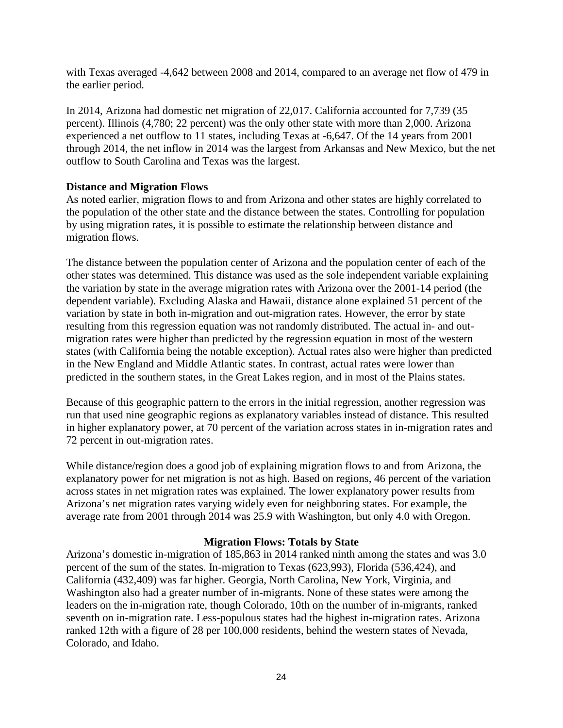with Texas averaged -4,642 between 2008 and 2014, compared to an average net flow of 479 in the earlier period.

In 2014, Arizona had domestic net migration of 22,017. California accounted for 7,739 (35 percent). Illinois (4,780; 22 percent) was the only other state with more than 2,000. Arizona experienced a net outflow to 11 states, including Texas at -6,647. Of the 14 years from 2001 through 2014, the net inflow in 2014 was the largest from Arkansas and New Mexico, but the net outflow to South Carolina and Texas was the largest.

# **Distance and Migration Flows**

As noted earlier, migration flows to and from Arizona and other states are highly correlated to the population of the other state and the distance between the states. Controlling for population by using migration rates, it is possible to estimate the relationship between distance and migration flows.

The distance between the population center of Arizona and the population center of each of the other states was determined. This distance was used as the sole independent variable explaining the variation by state in the average migration rates with Arizona over the 2001-14 period (the dependent variable). Excluding Alaska and Hawaii, distance alone explained 51 percent of the variation by state in both in-migration and out-migration rates. However, the error by state resulting from this regression equation was not randomly distributed. The actual in- and outmigration rates were higher than predicted by the regression equation in most of the western states (with California being the notable exception). Actual rates also were higher than predicted in the New England and Middle Atlantic states. In contrast, actual rates were lower than predicted in the southern states, in the Great Lakes region, and in most of the Plains states.

Because of this geographic pattern to the errors in the initial regression, another regression was run that used nine geographic regions as explanatory variables instead of distance. This resulted in higher explanatory power, at 70 percent of the variation across states in in-migration rates and 72 percent in out-migration rates.

While distance/region does a good job of explaining migration flows to and from Arizona, the explanatory power for net migration is not as high. Based on regions, 46 percent of the variation across states in net migration rates was explained. The lower explanatory power results from Arizona's net migration rates varying widely even for neighboring states. For example, the average rate from 2001 through 2014 was 25.9 with Washington, but only 4.0 with Oregon.

# **Migration Flows: Totals by State**

Arizona's domestic in-migration of 185,863 in 2014 ranked ninth among the states and was 3.0 percent of the sum of the states. In-migration to Texas (623,993), Florida (536,424), and California (432,409) was far higher. Georgia, North Carolina, New York, Virginia, and Washington also had a greater number of in-migrants. None of these states were among the leaders on the in-migration rate, though Colorado, 10th on the number of in-migrants, ranked seventh on in-migration rate. Less-populous states had the highest in-migration rates. Arizona ranked 12th with a figure of 28 per 100,000 residents, behind the western states of Nevada, Colorado, and Idaho.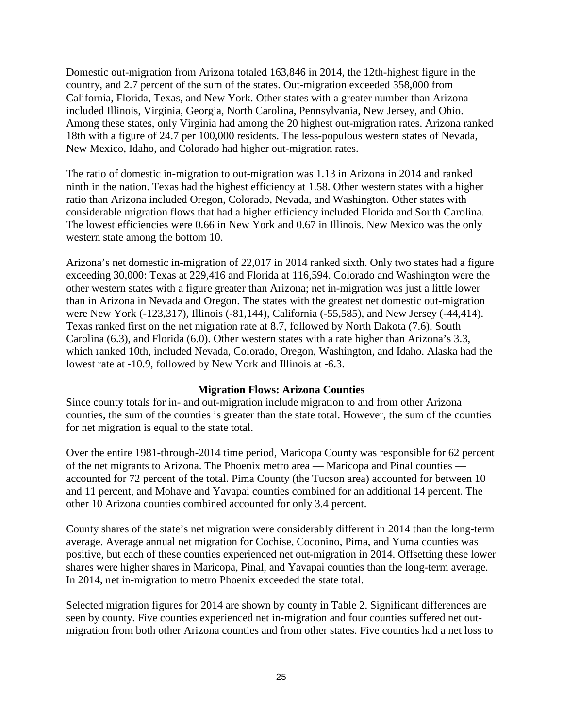Domestic out-migration from Arizona totaled 163,846 in 2014, the 12th-highest figure in the country, and 2.7 percent of the sum of the states. Out-migration exceeded 358,000 from California, Florida, Texas, and New York. Other states with a greater number than Arizona included Illinois, Virginia, Georgia, North Carolina, Pennsylvania, New Jersey, and Ohio. Among these states, only Virginia had among the 20 highest out-migration rates. Arizona ranked 18th with a figure of 24.7 per 100,000 residents. The less-populous western states of Nevada, New Mexico, Idaho, and Colorado had higher out-migration rates.

The ratio of domestic in-migration to out-migration was 1.13 in Arizona in 2014 and ranked ninth in the nation. Texas had the highest efficiency at 1.58. Other western states with a higher ratio than Arizona included Oregon, Colorado, Nevada, and Washington. Other states with considerable migration flows that had a higher efficiency included Florida and South Carolina. The lowest efficiencies were 0.66 in New York and 0.67 in Illinois. New Mexico was the only western state among the bottom 10.

Arizona's net domestic in-migration of 22,017 in 2014 ranked sixth. Only two states had a figure exceeding 30,000: Texas at 229,416 and Florida at 116,594. Colorado and Washington were the other western states with a figure greater than Arizona; net in-migration was just a little lower than in Arizona in Nevada and Oregon. The states with the greatest net domestic out-migration were New York (-123,317), Illinois (-81,144), California (-55,585), and New Jersey (-44,414). Texas ranked first on the net migration rate at 8.7, followed by North Dakota (7.6), South Carolina (6.3), and Florida (6.0). Other western states with a rate higher than Arizona's 3.3, which ranked 10th, included Nevada, Colorado, Oregon, Washington, and Idaho. Alaska had the lowest rate at -10.9, followed by New York and Illinois at -6.3.

#### **Migration Flows: Arizona Counties**

Since county totals for in- and out-migration include migration to and from other Arizona counties, the sum of the counties is greater than the state total. However, the sum of the counties for net migration is equal to the state total.

Over the entire 1981-through-2014 time period, Maricopa County was responsible for 62 percent of the net migrants to Arizona. The Phoenix metro area — Maricopa and Pinal counties accounted for 72 percent of the total. Pima County (the Tucson area) accounted for between 10 and 11 percent, and Mohave and Yavapai counties combined for an additional 14 percent. The other 10 Arizona counties combined accounted for only 3.4 percent.

County shares of the state's net migration were considerably different in 2014 than the long-term average. Average annual net migration for Cochise, Coconino, Pima, and Yuma counties was positive, but each of these counties experienced net out-migration in 2014. Offsetting these lower shares were higher shares in Maricopa, Pinal, and Yavapai counties than the long-term average. In 2014, net in-migration to metro Phoenix exceeded the state total.

Selected migration figures for 2014 are shown by county in Table 2. Significant differences are seen by county. Five counties experienced net in-migration and four counties suffered net outmigration from both other Arizona counties and from other states. Five counties had a net loss to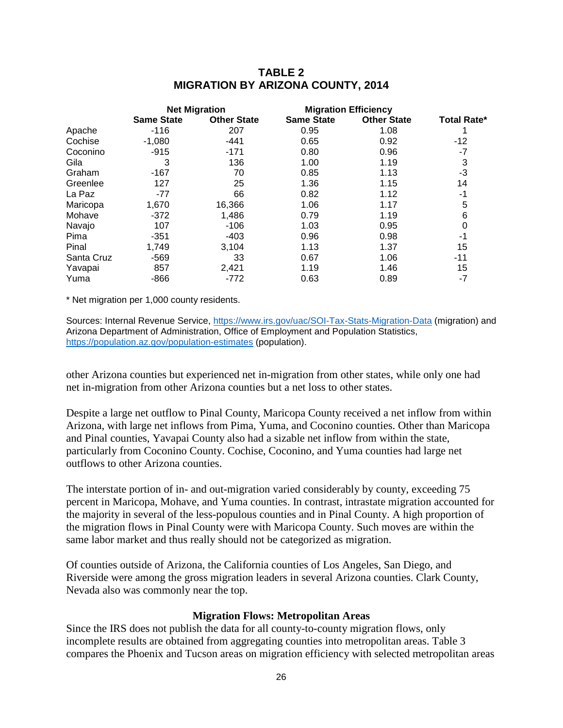# **TABLE 2 MIGRATION BY ARIZONA COUNTY, 2014**

|            |                   | <b>Net Migration</b> | <b>Migration Efficiency</b> |                    |                    |
|------------|-------------------|----------------------|-----------------------------|--------------------|--------------------|
|            | <b>Same State</b> | <b>Other State</b>   | <b>Same State</b>           | <b>Other State</b> | <b>Total Rate*</b> |
| Apache     | $-116$            | 207                  | 0.95                        | 1.08               |                    |
| Cochise    | $-1,080$          | $-441$               | 0.65                        | 0.92               | $-12$              |
| Coconino   | $-915$            | $-171$               | 0.80                        | 0.96               | -7                 |
| Gila       | 3                 | 136                  | 1.00                        | 1.19               | 3                  |
| Graham     | $-167$            | 70                   | 0.85                        | 1.13               | $-3$               |
| Greenlee   | 127               | 25                   | 1.36                        | 1.15               | 14                 |
| La Paz     | -77               | 66                   | 0.82                        | 1.12               | -1                 |
| Maricopa   | 1,670             | 16,366               | 1.06                        | 1.17               | 5                  |
| Mohave     | $-372$            | 1,486                | 0.79                        | 1.19               | 6                  |
| Navajo     | 107               | $-106$               | 1.03                        | 0.95               | 0                  |
| Pima       | $-351$            | $-403$               | 0.96                        | 0.98               | -1                 |
| Pinal      | 1,749             | 3,104                | 1.13                        | 1.37               | 15                 |
| Santa Cruz | $-569$            | 33                   | 0.67                        | 1.06               | -11                |
| Yavapai    | 857               | 2,421                | 1.19                        | 1.46               | 15                 |
| Yuma       | -866              | $-772$               | 0.63                        | 0.89               | $-7$               |

\* Net migration per 1,000 county residents.

Sources: Internal Revenue Service,<https://www.irs.gov/uac/SOI-Tax-Stats-Migration-Data> (migration) and Arizona Department of Administration, Office of Employment and Population Statistics, <https://population.az.gov/population-estimates> (population).

other Arizona counties but experienced net in-migration from other states, while only one had net in-migration from other Arizona counties but a net loss to other states.

Despite a large net outflow to Pinal County, Maricopa County received a net inflow from within Arizona, with large net inflows from Pima, Yuma, and Coconino counties. Other than Maricopa and Pinal counties, Yavapai County also had a sizable net inflow from within the state, particularly from Coconino County. Cochise, Coconino, and Yuma counties had large net outflows to other Arizona counties.

The interstate portion of in- and out-migration varied considerably by county, exceeding 75 percent in Maricopa, Mohave, and Yuma counties. In contrast, intrastate migration accounted for the majority in several of the less-populous counties and in Pinal County. A high proportion of the migration flows in Pinal County were with Maricopa County. Such moves are within the same labor market and thus really should not be categorized as migration.

Of counties outside of Arizona, the California counties of Los Angeles, San Diego, and Riverside were among the gross migration leaders in several Arizona counties. Clark County, Nevada also was commonly near the top.

#### **Migration Flows: Metropolitan Areas**

Since the IRS does not publish the data for all county-to-county migration flows, only incomplete results are obtained from aggregating counties into metropolitan areas. Table 3 compares the Phoenix and Tucson areas on migration efficiency with selected metropolitan areas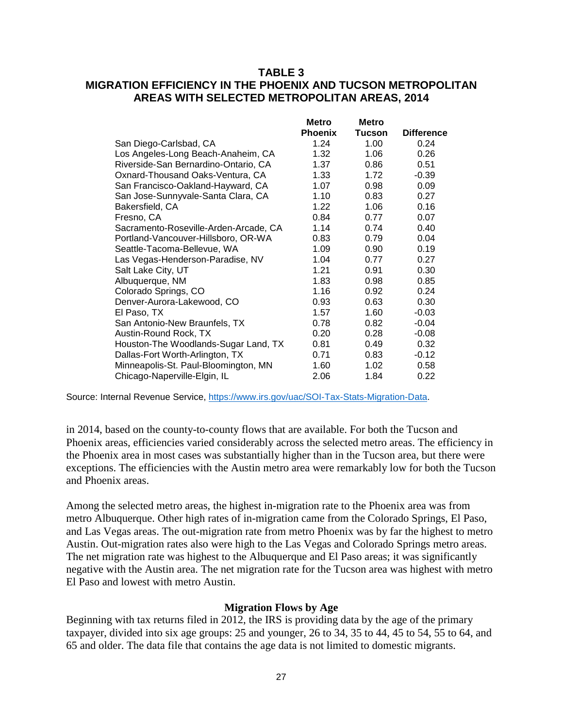# **TABLE 3 MIGRATION EFFICIENCY IN THE PHOENIX AND TUCSON METROPOLITAN AREAS WITH SELECTED METROPOLITAN AREAS, 2014**

| <b>Phoenix</b> | <b>Tucson</b>                                | <b>Difference</b> |
|----------------|----------------------------------------------|-------------------|
| 1.24           | 1.00                                         | 0.24              |
| 1.32           | 1.06                                         | 0.26              |
| 1.37           | 0.86                                         | 0.51              |
| 1.33           | 1.72                                         | $-0.39$           |
| 1.07           | 0.98                                         | 0.09              |
| 1.10           | 0.83                                         | 0.27              |
| 1.22           | 1.06                                         | 0.16              |
| 0.84           | 0.77                                         | 0.07              |
| 1.14           | 0.74                                         | 0.40              |
| 0.83           | 0.79                                         | 0.04              |
| 1.09           | 0.90                                         | 0.19              |
| 1.04           | 0.77                                         | 0.27              |
| 1.21           | 0.91                                         | 0.30              |
| 1.83           | 0.98                                         | 0.85              |
|                | 0.92                                         | 0.24              |
| 0.93           | 0.63                                         | 0.30              |
| 1.57           | 1.60                                         | $-0.03$           |
| 0.78           | 0.82                                         | $-0.04$           |
|                | 0.28                                         | $-0.08$           |
| 0.81           | 0.49                                         | 0.32              |
|                | 0.83                                         | $-0.12$           |
| 1.60           | 1.02                                         | 0.58              |
|                | 1.84                                         | 0.22              |
|                | <b>Metro</b><br>1.16<br>0.20<br>0.71<br>2.06 | <b>Metro</b>      |

Source: Internal Revenue Service, [https://www.irs.gov/uac/SOI-Tax-Stats-Migration-Data.](https://www.irs.gov/uac/SOI-Tax-Stats-Migration-Data)

in 2014, based on the county-to-county flows that are available. For both the Tucson and Phoenix areas, efficiencies varied considerably across the selected metro areas. The efficiency in the Phoenix area in most cases was substantially higher than in the Tucson area, but there were exceptions. The efficiencies with the Austin metro area were remarkably low for both the Tucson and Phoenix areas.

Among the selected metro areas, the highest in-migration rate to the Phoenix area was from metro Albuquerque. Other high rates of in-migration came from the Colorado Springs, El Paso, and Las Vegas areas. The out-migration rate from metro Phoenix was by far the highest to metro Austin. Out-migration rates also were high to the Las Vegas and Colorado Springs metro areas. The net migration rate was highest to the Albuquerque and El Paso areas; it was significantly negative with the Austin area. The net migration rate for the Tucson area was highest with metro El Paso and lowest with metro Austin.

#### **Migration Flows by Age**

Beginning with tax returns filed in 2012, the IRS is providing data by the age of the primary taxpayer, divided into six age groups: 25 and younger, 26 to 34, 35 to 44, 45 to 54, 55 to 64, and 65 and older. The data file that contains the age data is not limited to domestic migrants.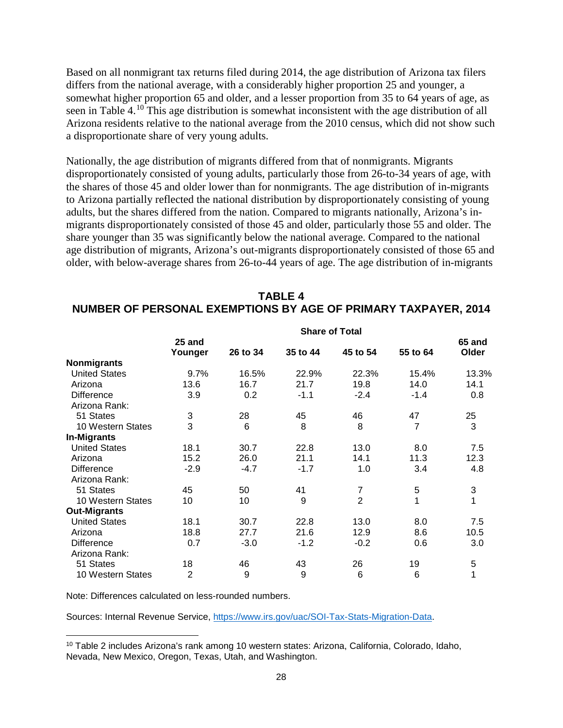Based on all nonmigrant tax returns filed during 2014, the age distribution of Arizona tax filers differs from the national average, with a considerably higher proportion 25 and younger, a somewhat higher proportion 65 and older, and a lesser proportion from 35 to 64 years of age, as seen in Table 4.[10](#page-29-0) This age distribution is somewhat inconsistent with the age distribution of all Arizona residents relative to the national average from the 2010 census, which did not show such a disproportionate share of very young adults.

Nationally, the age distribution of migrants differed from that of nonmigrants. Migrants disproportionately consisted of young adults, particularly those from 26-to-34 years of age, with the shares of those 45 and older lower than for nonmigrants. The age distribution of in-migrants to Arizona partially reflected the national distribution by disproportionately consisting of young adults, but the shares differed from the nation. Compared to migrants nationally, Arizona's inmigrants disproportionately consisted of those 45 and older, particularly those 55 and older. The share younger than 35 was significantly below the national average. Compared to the national age distribution of migrants, Arizona's out-migrants disproportionately consisted of those 65 and older, with below-average shares from 26-to-44 years of age. The age distribution of in-migrants

| <b>TABLE 4</b>                                                 |  |
|----------------------------------------------------------------|--|
| NUMBER OF PERSONAL EXEMPTIONS BY AGE OF PRIMARY TAXPAYER, 2014 |  |

|                      | <b>Share of Total</b> |          |          |                |          |        |  |  |
|----------------------|-----------------------|----------|----------|----------------|----------|--------|--|--|
|                      | 25 and                |          |          |                |          | 65 and |  |  |
|                      | Younger               | 26 to 34 | 35 to 44 | 45 to 54       | 55 to 64 | Older  |  |  |
| <b>Nonmigrants</b>   |                       |          |          |                |          |        |  |  |
| <b>United States</b> | 9.7%                  | 16.5%    | 22.9%    | 22.3%          | 15.4%    | 13.3%  |  |  |
| Arizona              | 13.6                  | 16.7     | 21.7     | 19.8           | 14.0     | 14.1   |  |  |
| <b>Difference</b>    | 3.9                   | 0.2      | $-1.1$   | $-2.4$         | $-1.4$   | 0.8    |  |  |
| Arizona Rank:        |                       |          |          |                |          |        |  |  |
| 51 States            | 3                     | 28       | 45       | 46             | 47       | 25     |  |  |
| 10 Western States    | 3                     | 6        | 8        | 8              | 7        | 3      |  |  |
| <b>In-Migrants</b>   |                       |          |          |                |          |        |  |  |
| <b>United States</b> | 18.1                  | 30.7     | 22.8     | 13.0           | 8.0      | 7.5    |  |  |
| Arizona              | 15.2                  | 26.0     | 21.1     | 14.1           | 11.3     | 12.3   |  |  |
| <b>Difference</b>    | $-2.9$                | $-4.7$   | $-1.7$   | 1.0            | 3.4      | 4.8    |  |  |
| Arizona Rank:        |                       |          |          |                |          |        |  |  |
| 51 States            | 45                    | 50       | 41       | $\overline{7}$ | 5        | 3      |  |  |
| 10 Western States    | 10                    | 10       | 9        | $\overline{2}$ | 1        | 1      |  |  |
| <b>Out-Migrants</b>  |                       |          |          |                |          |        |  |  |
| <b>United States</b> | 18.1                  | 30.7     | 22.8     | 13.0           | 8.0      | 7.5    |  |  |
| Arizona              | 18.8                  | 27.7     | 21.6     | 12.9           | 8.6      | 10.5   |  |  |
| <b>Difference</b>    | 0.7                   | $-3.0$   | $-1.2$   | $-0.2$         | 0.6      | 3.0    |  |  |
| Arizona Rank:        |                       |          |          |                |          |        |  |  |
| 51 States            | 18                    | 46       | 43       | 26             | 19       | 5      |  |  |
| 10 Western States    | $\overline{2}$        | 9        | 9        | 6              | 6        | 1      |  |  |

Note: Differences calculated on less-rounded numbers.

l

Sources: Internal Revenue Service, [https://www.irs.gov/uac/SOI-Tax-Stats-Migration-Data.](https://www.irs.gov/uac/SOI-Tax-Stats-Migration-Data)

<span id="page-29-0"></span><sup>10</sup> Table 2 includes Arizona's rank among 10 western states: Arizona, California, Colorado, Idaho, Nevada, New Mexico, Oregon, Texas, Utah, and Washington.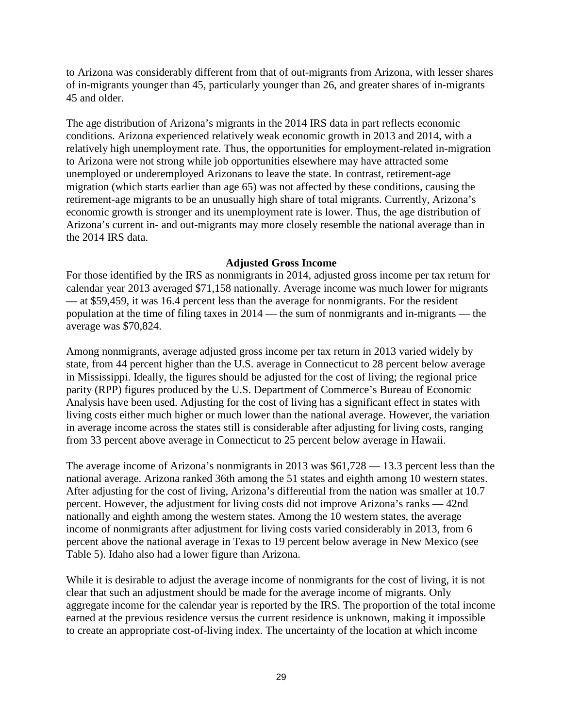to Arizona was considerably different from that of out-migrants from Arizona, with lesser shares of in-migrants younger than 45, particularly younger than 26, and greater shares of in-migrants 45 and older.

The age distribution of Arizona's migrants in the 2014 IRS data in part reflects economic conditions. Arizona experienced relatively weak economic growth in 2013 and 2014, with a relatively high unemployment rate. Thus, the opportunities for employment-related in-migration to Arizona were not strong while job opportunities elsewhere may have attracted some unemployed or underemployed Arizonans to leave the state. In contrast, retirement-age migration (which starts earlier than age 65) was not affected by these conditions, causing the retirement-age migrants to be an unusually high share of total migrants. Currently, Arizona's economic growth is stronger and its unemployment rate is lower. Thus, the age distribution of Arizona's current in- and out-migrants may more closely resemble the national average than in the 2014 IRS data.

#### **Adjusted Gross Income**

For those identified by the IRS as nonmigrants in 2014, adjusted gross income per tax return for calendar year 2013 averaged \$71,158 nationally. Average income was much lower for migrants — at \$59,459, it was 16.4 percent less than the average for nonmigrants. For the resident population at the time of filing taxes in 2014 — the sum of nonmigrants and in-migrants — the average was \$70,824.

Among nonmigrants, average adjusted gross income per tax return in 2013 varied widely by state, from 44 percent higher than the U.S. average in Connecticut to 28 percent below average in Mississippi. Ideally, the figures should be adjusted for the cost of living; the regional price parity (RPP) figures produced by the U.S. Department of Commerce's Bureau of Economic Analysis have been used. Adjusting for the cost of living has a significant effect in states with living costs either much higher or much lower than the national average. However, the variation in average income across the states still is considerable after adjusting for living costs, ranging from 33 percent above average in Connecticut to 25 percent below average in Hawaii.

The average income of Arizona's nonmigrants in 2013 was \$61,728 — 13.3 percent less than the national average. Arizona ranked 36th among the 51 states and eighth among 10 western states. After adjusting for the cost of living, Arizona's differential from the nation was smaller at 10.7 percent. However, the adjustment for living costs did not improve Arizona's ranks — 42nd nationally and eighth among the western states. Among the 10 western states, the average income of nonmigrants after adjustment for living costs varied considerably in 2013, from 6 percent above the national average in Texas to 19 percent below average in New Mexico (see Table 5). Idaho also had a lower figure than Arizona.

While it is desirable to adjust the average income of nonmigrants for the cost of living, it is not clear that such an adjustment should be made for the average income of migrants. Only aggregate income for the calendar year is reported by the IRS. The proportion of the total income earned at the previous residence versus the current residence is unknown, making it impossible to create an appropriate cost-of-living index. The uncertainty of the location at which income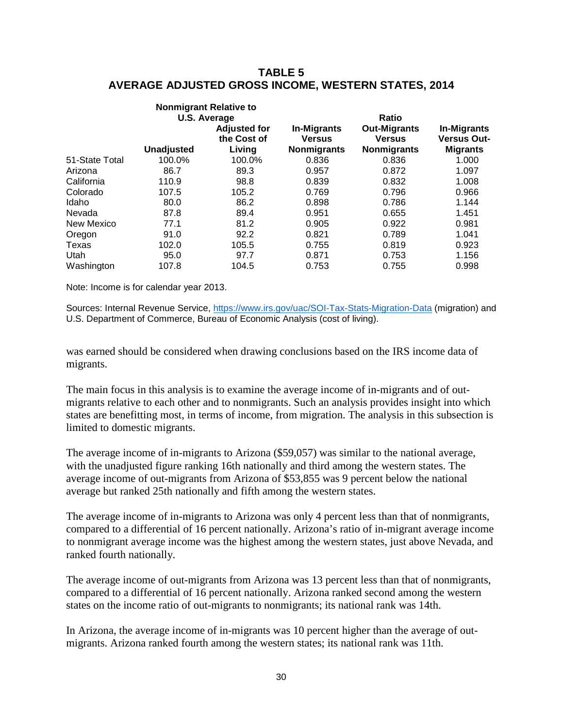# **TABLE 5 AVERAGE ADJUSTED GROSS INCOME, WESTERN STATES, 2014**

|                |                   | <b>Nonmigrant Relative to</b><br><b>U.S. Average</b> |                                                           | <b>Ratio</b>                                               |                                                             |
|----------------|-------------------|------------------------------------------------------|-----------------------------------------------------------|------------------------------------------------------------|-------------------------------------------------------------|
|                | <b>Unadjusted</b> | <b>Adjusted for</b><br>the Cost of<br>Living         | <b>In-Migrants</b><br><b>Versus</b><br><b>Nonmigrants</b> | <b>Out-Migrants</b><br><b>Versus</b><br><b>Nonmigrants</b> | <b>In-Migrants</b><br><b>Versus Out-</b><br><b>Migrants</b> |
| 51-State Total | 100.0%            | 100.0%                                               | 0.836                                                     | 0.836                                                      | 1.000                                                       |
| Arizona        | 86.7              | 89.3                                                 | 0.957                                                     | 0.872                                                      | 1.097                                                       |
| California     | 110.9             | 98.8                                                 | 0.839                                                     | 0.832                                                      | 1.008                                                       |
| Colorado       | 107.5             | 105.2                                                | 0.769                                                     | 0.796                                                      | 0.966                                                       |
| Idaho          | 80.0              | 86.2                                                 | 0.898                                                     | 0.786                                                      | 1.144                                                       |
| Nevada         | 87.8              | 89.4                                                 | 0.951                                                     | 0.655                                                      | 1.451                                                       |
| New Mexico     | 77.1              | 81.2                                                 | 0.905                                                     | 0.922                                                      | 0.981                                                       |
| Oregon         | 91.0              | 92.2                                                 | 0.821                                                     | 0.789                                                      | 1.041                                                       |
| Texas          | 102.0             | 105.5                                                | 0.755                                                     | 0.819                                                      | 0.923                                                       |
| Utah           | 95.0              | 97.7                                                 | 0.871                                                     | 0.753                                                      | 1.156                                                       |
| Washington     | 107.8             | 104.5                                                | 0.753                                                     | 0.755                                                      | 0.998                                                       |
|                |                   |                                                      |                                                           |                                                            |                                                             |

Note: Income is for calendar year 2013.

Sources: Internal Revenue Service,<https://www.irs.gov/uac/SOI-Tax-Stats-Migration-Data> (migration) and U.S. Department of Commerce, Bureau of Economic Analysis (cost of living).

was earned should be considered when drawing conclusions based on the IRS income data of migrants.

The main focus in this analysis is to examine the average income of in-migrants and of outmigrants relative to each other and to nonmigrants. Such an analysis provides insight into which states are benefitting most, in terms of income, from migration. The analysis in this subsection is limited to domestic migrants.

The average income of in-migrants to Arizona (\$59,057) was similar to the national average, with the unadjusted figure ranking 16th nationally and third among the western states. The average income of out-migrants from Arizona of \$53,855 was 9 percent below the national average but ranked 25th nationally and fifth among the western states.

The average income of in-migrants to Arizona was only 4 percent less than that of nonmigrants, compared to a differential of 16 percent nationally. Arizona's ratio of in-migrant average income to nonmigrant average income was the highest among the western states, just above Nevada, and ranked fourth nationally.

The average income of out-migrants from Arizona was 13 percent less than that of nonmigrants, compared to a differential of 16 percent nationally. Arizona ranked second among the western states on the income ratio of out-migrants to nonmigrants; its national rank was 14th.

In Arizona, the average income of in-migrants was 10 percent higher than the average of outmigrants. Arizona ranked fourth among the western states; its national rank was 11th.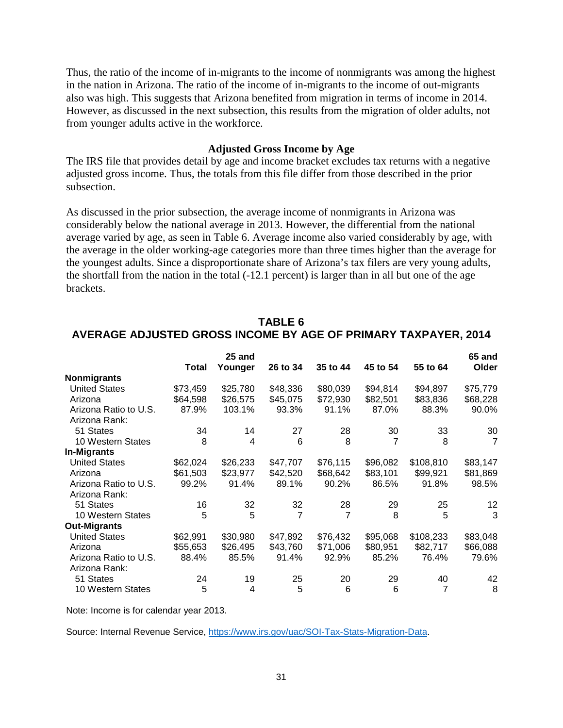Thus, the ratio of the income of in-migrants to the income of nonmigrants was among the highest in the nation in Arizona. The ratio of the income of in-migrants to the income of out-migrants also was high. This suggests that Arizona benefited from migration in terms of income in 2014. However, as discussed in the next subsection, this results from the migration of older adults, not from younger adults active in the workforce.

#### **Adjusted Gross Income by Age**

The IRS file that provides detail by age and income bracket excludes tax returns with a negative adjusted gross income. Thus, the totals from this file differ from those described in the prior subsection.

As discussed in the prior subsection, the average income of nonmigrants in Arizona was considerably below the national average in 2013. However, the differential from the national average varied by age, as seen in Table 6. Average income also varied considerably by age, with the average in the older working-age categories more than three times higher than the average for the youngest adults. Since a disproportionate share of Arizona's tax filers are very young adults, the shortfall from the nation in the total (-12.1 percent) is larger than in all but one of the age brackets.

|                       | Total    | 25 and<br>Younger | 26 to 34       | 35 to 44 | 45 to 54 | 55 to 64  | 65 and<br>Older |
|-----------------------|----------|-------------------|----------------|----------|----------|-----------|-----------------|
| <b>Nonmigrants</b>    |          |                   |                |          |          |           |                 |
| <b>United States</b>  | \$73,459 | \$25,780          | \$48,336       | \$80,039 | \$94,814 | \$94,897  | \$75,779        |
| Arizona               | \$64,598 | \$26,575          | \$45,075       | \$72,930 | \$82,501 | \$83,836  | \$68,228        |
| Arizona Ratio to U.S. | 87.9%    | 103.1%            | 93.3%          | 91.1%    | 87.0%    | 88.3%     | 90.0%           |
| Arizona Rank:         |          |                   |                |          |          |           |                 |
| 51 States             | 34       | 14                | 27             | 28       | 30       | 33        | 30              |
| 10 Western States     | 8        | 4                 | 6              | 8        | 7        | 8         | $\overline{7}$  |
| <b>In-Migrants</b>    |          |                   |                |          |          |           |                 |
| <b>United States</b>  | \$62,024 | \$26,233          | \$47,707       | \$76,115 | \$96,082 | \$108,810 | \$83,147        |
| Arizona               | \$61,503 | \$23,977          | \$42,520       | \$68,642 | \$83,101 | \$99,921  | \$81,869        |
| Arizona Ratio to U.S. | 99.2%    | 91.4%             | 89.1%          | 90.2%    | 86.5%    | 91.8%     | 98.5%           |
| Arizona Rank:         |          |                   |                |          |          |           |                 |
| 51 States             | 16       | 32                | 32             | 28       | 29       | 25        | 12              |
| 10 Western States     | 5        | 5                 | $\overline{7}$ | 7        | 8        | 5         | 3               |
| <b>Out-Migrants</b>   |          |                   |                |          |          |           |                 |
| <b>United States</b>  | \$62,991 | \$30,980          | \$47,892       | \$76,432 | \$95,068 | \$108,233 | \$83,048        |
| Arizona               | \$55,653 | \$26,495          | \$43,760       | \$71,006 | \$80,951 | \$82,717  | \$66,088        |
| Arizona Ratio to U.S. | 88.4%    | 85.5%             | 91.4%          | 92.9%    | 85.2%    | 76.4%     | 79.6%           |
| Arizona Rank:         |          |                   |                |          |          |           |                 |
| 51 States             | 24       | 19                | 25             | 20       | 29       | 40        | 42              |
| 10 Western States     | 5        | 4                 | 5              | 6        | 6        | 7         | 8               |

# **TABLE 6 AVERAGE ADJUSTED GROSS INCOME BY AGE OF PRIMARY TAXPAYER, 2014**

Note: Income is for calendar year 2013.

Source: Internal Revenue Service, [https://www.irs.gov/uac/SOI-Tax-Stats-Migration-Data.](https://www.irs.gov/uac/SOI-Tax-Stats-Migration-Data)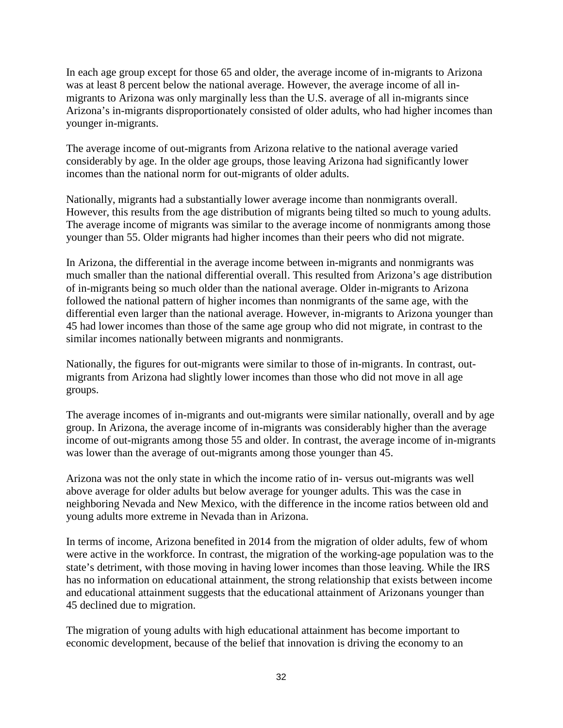In each age group except for those 65 and older, the average income of in-migrants to Arizona was at least 8 percent below the national average. However, the average income of all inmigrants to Arizona was only marginally less than the U.S. average of all in-migrants since Arizona's in-migrants disproportionately consisted of older adults, who had higher incomes than younger in-migrants.

The average income of out-migrants from Arizona relative to the national average varied considerably by age. In the older age groups, those leaving Arizona had significantly lower incomes than the national norm for out-migrants of older adults.

Nationally, migrants had a substantially lower average income than nonmigrants overall. However, this results from the age distribution of migrants being tilted so much to young adults. The average income of migrants was similar to the average income of nonmigrants among those younger than 55. Older migrants had higher incomes than their peers who did not migrate.

In Arizona, the differential in the average income between in-migrants and nonmigrants was much smaller than the national differential overall. This resulted from Arizona's age distribution of in-migrants being so much older than the national average. Older in-migrants to Arizona followed the national pattern of higher incomes than nonmigrants of the same age, with the differential even larger than the national average. However, in-migrants to Arizona younger than 45 had lower incomes than those of the same age group who did not migrate, in contrast to the similar incomes nationally between migrants and nonmigrants.

Nationally, the figures for out-migrants were similar to those of in-migrants. In contrast, outmigrants from Arizona had slightly lower incomes than those who did not move in all age groups.

The average incomes of in-migrants and out-migrants were similar nationally, overall and by age group. In Arizona, the average income of in-migrants was considerably higher than the average income of out-migrants among those 55 and older. In contrast, the average income of in-migrants was lower than the average of out-migrants among those younger than 45.

Arizona was not the only state in which the income ratio of in- versus out-migrants was well above average for older adults but below average for younger adults. This was the case in neighboring Nevada and New Mexico, with the difference in the income ratios between old and young adults more extreme in Nevada than in Arizona.

In terms of income, Arizona benefited in 2014 from the migration of older adults, few of whom were active in the workforce. In contrast, the migration of the working-age population was to the state's detriment, with those moving in having lower incomes than those leaving. While the IRS has no information on educational attainment, the strong relationship that exists between income and educational attainment suggests that the educational attainment of Arizonans younger than 45 declined due to migration.

The migration of young adults with high educational attainment has become important to economic development, because of the belief that innovation is driving the economy to an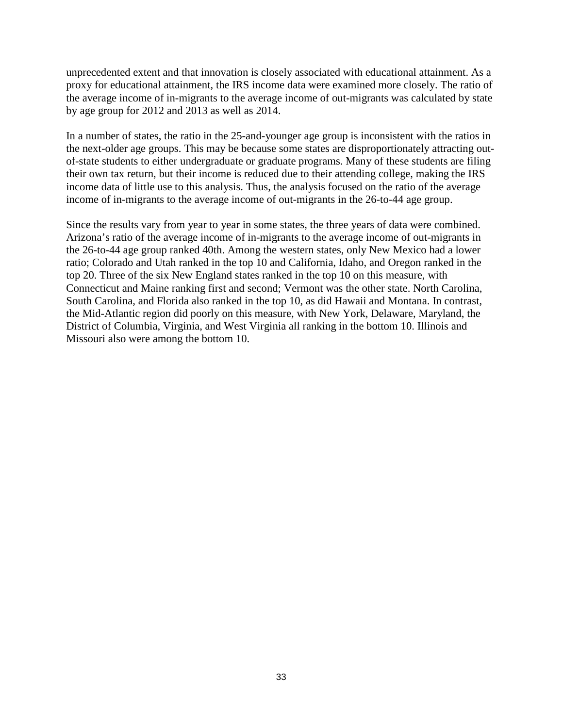unprecedented extent and that innovation is closely associated with educational attainment. As a proxy for educational attainment, the IRS income data were examined more closely. The ratio of the average income of in-migrants to the average income of out-migrants was calculated by state by age group for 2012 and 2013 as well as 2014.

In a number of states, the ratio in the 25-and-younger age group is inconsistent with the ratios in the next-older age groups. This may be because some states are disproportionately attracting outof-state students to either undergraduate or graduate programs. Many of these students are filing their own tax return, but their income is reduced due to their attending college, making the IRS income data of little use to this analysis. Thus, the analysis focused on the ratio of the average income of in-migrants to the average income of out-migrants in the 26-to-44 age group.

Since the results vary from year to year in some states, the three years of data were combined. Arizona's ratio of the average income of in-migrants to the average income of out-migrants in the 26-to-44 age group ranked 40th. Among the western states, only New Mexico had a lower ratio; Colorado and Utah ranked in the top 10 and California, Idaho, and Oregon ranked in the top 20. Three of the six New England states ranked in the top 10 on this measure, with Connecticut and Maine ranking first and second; Vermont was the other state. North Carolina, South Carolina, and Florida also ranked in the top 10, as did Hawaii and Montana. In contrast, the Mid-Atlantic region did poorly on this measure, with New York, Delaware, Maryland, the District of Columbia, Virginia, and West Virginia all ranking in the bottom 10. Illinois and Missouri also were among the bottom 10.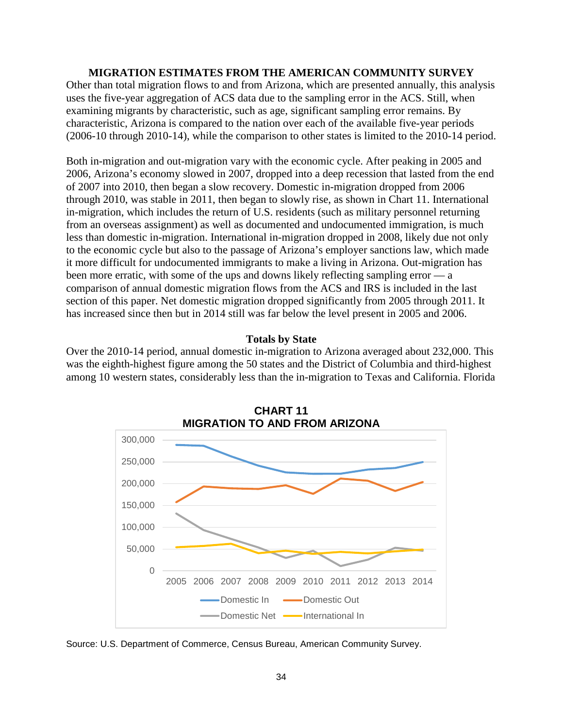#### **MIGRATION ESTIMATES FROM THE AMERICAN COMMUNITY SURVEY**

Other than total migration flows to and from Arizona, which are presented annually, this analysis uses the five-year aggregation of ACS data due to the sampling error in the ACS. Still, when examining migrants by characteristic, such as age, significant sampling error remains. By characteristic, Arizona is compared to the nation over each of the available five-year periods (2006-10 through 2010-14), while the comparison to other states is limited to the 2010-14 period.

Both in-migration and out-migration vary with the economic cycle. After peaking in 2005 and 2006, Arizona's economy slowed in 2007, dropped into a deep recession that lasted from the end of 2007 into 2010, then began a slow recovery. Domestic in-migration dropped from 2006 through 2010, was stable in 2011, then began to slowly rise, as shown in Chart 11. International in-migration, which includes the return of U.S. residents (such as military personnel returning from an overseas assignment) as well as documented and undocumented immigration, is much less than domestic in-migration. International in-migration dropped in 2008, likely due not only to the economic cycle but also to the passage of Arizona's employer sanctions law, which made it more difficult for undocumented immigrants to make a living in Arizona. Out-migration has been more erratic, with some of the ups and downs likely reflecting sampling error — a comparison of annual domestic migration flows from the ACS and IRS is included in the last section of this paper. Net domestic migration dropped significantly from 2005 through 2011. It has increased since then but in 2014 still was far below the level present in 2005 and 2006.

#### **Totals by State**

Over the 2010-14 period, annual domestic in-migration to Arizona averaged about 232,000. This was the eighth-highest figure among the 50 states and the District of Columbia and third-highest among 10 western states, considerably less than the in-migration to Texas and California. Florida



**CHART 11**

Source: U.S. Department of Commerce, Census Bureau, American Community Survey.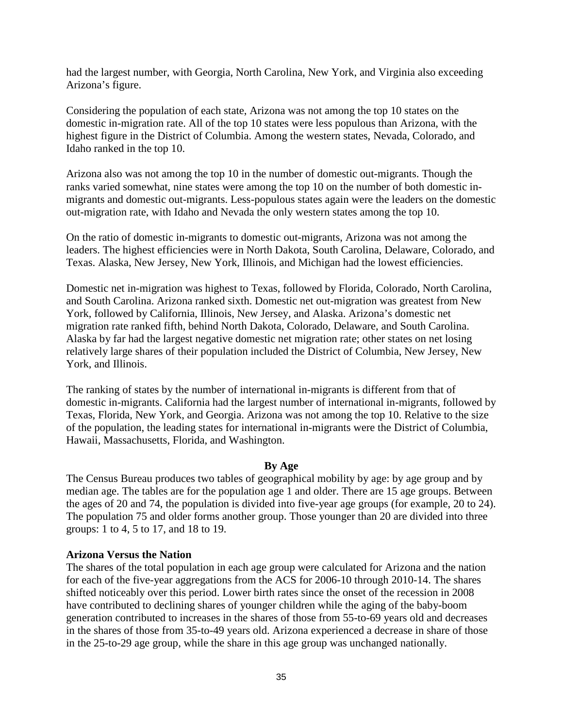had the largest number, with Georgia, North Carolina, New York, and Virginia also exceeding Arizona's figure.

Considering the population of each state, Arizona was not among the top 10 states on the domestic in-migration rate. All of the top 10 states were less populous than Arizona, with the highest figure in the District of Columbia. Among the western states, Nevada, Colorado, and Idaho ranked in the top 10.

Arizona also was not among the top 10 in the number of domestic out-migrants. Though the ranks varied somewhat, nine states were among the top 10 on the number of both domestic inmigrants and domestic out-migrants. Less-populous states again were the leaders on the domestic out-migration rate, with Idaho and Nevada the only western states among the top 10.

On the ratio of domestic in-migrants to domestic out-migrants, Arizona was not among the leaders. The highest efficiencies were in North Dakota, South Carolina, Delaware, Colorado, and Texas. Alaska, New Jersey, New York, Illinois, and Michigan had the lowest efficiencies.

Domestic net in-migration was highest to Texas, followed by Florida, Colorado, North Carolina, and South Carolina. Arizona ranked sixth. Domestic net out-migration was greatest from New York, followed by California, Illinois, New Jersey, and Alaska. Arizona's domestic net migration rate ranked fifth, behind North Dakota, Colorado, Delaware, and South Carolina. Alaska by far had the largest negative domestic net migration rate; other states on net losing relatively large shares of their population included the District of Columbia, New Jersey, New York, and Illinois.

The ranking of states by the number of international in-migrants is different from that of domestic in-migrants. California had the largest number of international in-migrants, followed by Texas, Florida, New York, and Georgia. Arizona was not among the top 10. Relative to the size of the population, the leading states for international in-migrants were the District of Columbia, Hawaii, Massachusetts, Florida, and Washington.

#### **By Age**

The Census Bureau produces two tables of geographical mobility by age: by age group and by median age. The tables are for the population age 1 and older. There are 15 age groups. Between the ages of 20 and 74, the population is divided into five-year age groups (for example, 20 to 24). The population 75 and older forms another group. Those younger than 20 are divided into three groups: 1 to 4, 5 to 17, and 18 to 19.

# **Arizona Versus the Nation**

The shares of the total population in each age group were calculated for Arizona and the nation for each of the five-year aggregations from the ACS for 2006-10 through 2010-14. The shares shifted noticeably over this period. Lower birth rates since the onset of the recession in 2008 have contributed to declining shares of younger children while the aging of the baby-boom generation contributed to increases in the shares of those from 55-to-69 years old and decreases in the shares of those from 35-to-49 years old. Arizona experienced a decrease in share of those in the 25-to-29 age group, while the share in this age group was unchanged nationally.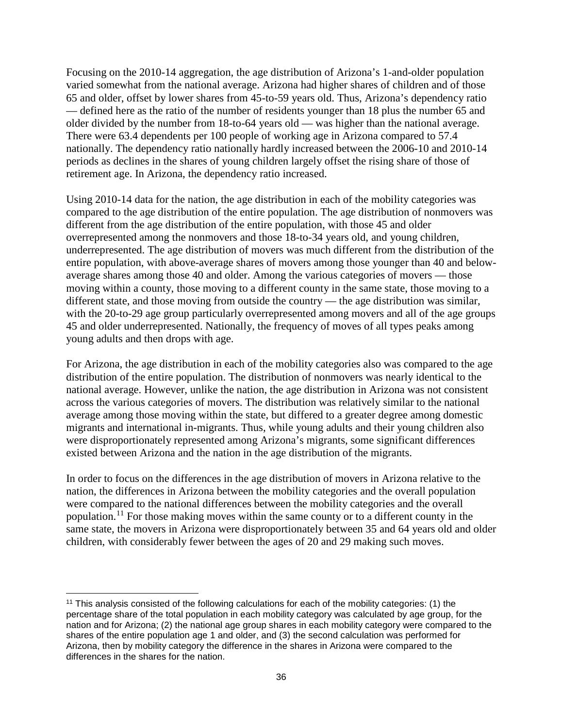Focusing on the 2010-14 aggregation, the age distribution of Arizona's 1-and-older population varied somewhat from the national average. Arizona had higher shares of children and of those 65 and older, offset by lower shares from 45-to-59 years old. Thus, Arizona's dependency ratio — defined here as the ratio of the number of residents younger than 18 plus the number 65 and older divided by the number from 18-to-64 years old — was higher than the national average. There were 63.4 dependents per 100 people of working age in Arizona compared to 57.4 nationally. The dependency ratio nationally hardly increased between the 2006-10 and 2010-14 periods as declines in the shares of young children largely offset the rising share of those of retirement age. In Arizona, the dependency ratio increased.

Using 2010-14 data for the nation, the age distribution in each of the mobility categories was compared to the age distribution of the entire population. The age distribution of nonmovers was different from the age distribution of the entire population, with those 45 and older overrepresented among the nonmovers and those 18-to-34 years old, and young children, underrepresented. The age distribution of movers was much different from the distribution of the entire population, with above-average shares of movers among those younger than 40 and belowaverage shares among those 40 and older. Among the various categories of movers — those moving within a county, those moving to a different county in the same state, those moving to a different state, and those moving from outside the country — the age distribution was similar, with the 20-to-29 age group particularly overrepresented among movers and all of the age groups 45 and older underrepresented. Nationally, the frequency of moves of all types peaks among young adults and then drops with age.

For Arizona, the age distribution in each of the mobility categories also was compared to the age distribution of the entire population. The distribution of nonmovers was nearly identical to the national average. However, unlike the nation, the age distribution in Arizona was not consistent across the various categories of movers. The distribution was relatively similar to the national average among those moving within the state, but differed to a greater degree among domestic migrants and international in-migrants. Thus, while young adults and their young children also were disproportionately represented among Arizona's migrants, some significant differences existed between Arizona and the nation in the age distribution of the migrants.

In order to focus on the differences in the age distribution of movers in Arizona relative to the nation, the differences in Arizona between the mobility categories and the overall population were compared to the national differences between the mobility categories and the overall population.<sup>[11](#page-37-0)</sup> For those making moves within the same county or to a different county in the same state, the movers in Arizona were disproportionately between 35 and 64 years old and older children, with considerably fewer between the ages of 20 and 29 making such moves.

 $\overline{\phantom{a}}$ 

<span id="page-37-0"></span><sup>11</sup> This analysis consisted of the following calculations for each of the mobility categories: (1) the percentage share of the total population in each mobility category was calculated by age group, for the nation and for Arizona; (2) the national age group shares in each mobility category were compared to the shares of the entire population age 1 and older, and (3) the second calculation was performed for Arizona, then by mobility category the difference in the shares in Arizona were compared to the differences in the shares for the nation.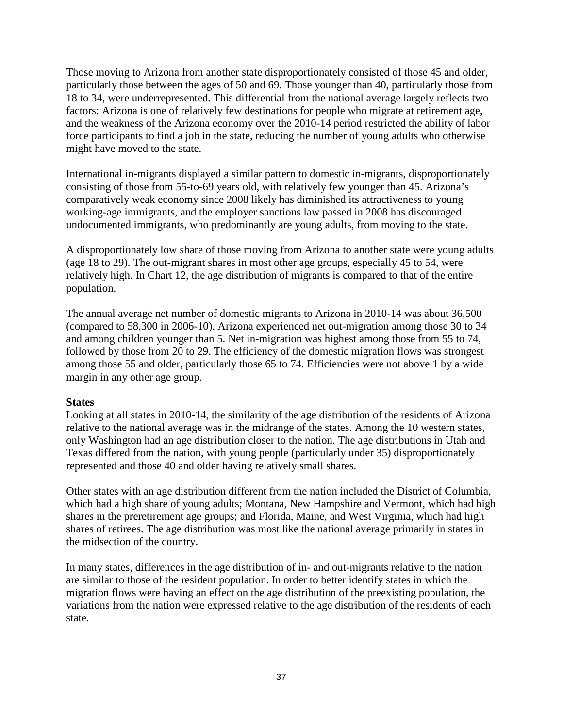Those moving to Arizona from another state disproportionately consisted of those 45 and older, particularly those between the ages of 50 and 69. Those younger than 40, particularly those from 18 to 34, were underrepresented. This differential from the national average largely reflects two factors: Arizona is one of relatively few destinations for people who migrate at retirement age, and the weakness of the Arizona economy over the 2010-14 period restricted the ability of labor force participants to find a job in the state, reducing the number of young adults who otherwise might have moved to the state.

International in-migrants displayed a similar pattern to domestic in-migrants, disproportionately consisting of those from 55-to-69 years old, with relatively few younger than 45. Arizona's comparatively weak economy since 2008 likely has diminished its attractiveness to young working-age immigrants, and the employer sanctions law passed in 2008 has discouraged undocumented immigrants, who predominantly are young adults, from moving to the state.

A disproportionately low share of those moving from Arizona to another state were young adults (age 18 to 29). The out-migrant shares in most other age groups, especially 45 to 54, were relatively high. In Chart 12, the age distribution of migrants is compared to that of the entire population.

The annual average net number of domestic migrants to Arizona in 2010-14 was about 36,500 (compared to 58,300 in 2006-10). Arizona experienced net out-migration among those 30 to 34 and among children younger than 5. Net in-migration was highest among those from 55 to 74, followed by those from 20 to 29. The efficiency of the domestic migration flows was strongest among those 55 and older, particularly those 65 to 74. Efficiencies were not above 1 by a wide margin in any other age group.

# **States**

Looking at all states in 2010-14, the similarity of the age distribution of the residents of Arizona relative to the national average was in the midrange of the states. Among the 10 western states, only Washington had an age distribution closer to the nation. The age distributions in Utah and Texas differed from the nation, with young people (particularly under 35) disproportionately represented and those 40 and older having relatively small shares.

Other states with an age distribution different from the nation included the District of Columbia, which had a high share of young adults; Montana, New Hampshire and Vermont, which had high shares in the preretirement age groups; and Florida, Maine, and West Virginia, which had high shares of retirees. The age distribution was most like the national average primarily in states in the midsection of the country.

In many states, differences in the age distribution of in- and out-migrants relative to the nation are similar to those of the resident population. In order to better identify states in which the migration flows were having an effect on the age distribution of the preexisting population, the variations from the nation were expressed relative to the age distribution of the residents of each state.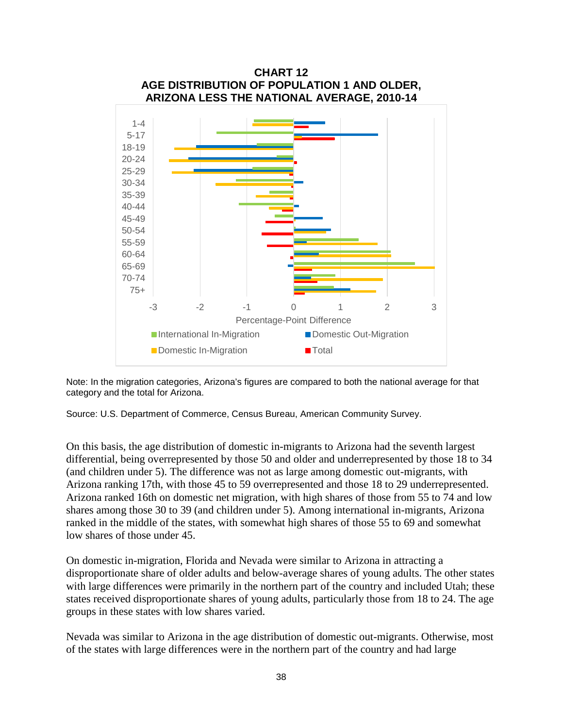

Note: In the migration categories, Arizona's figures are compared to both the national average for that category and the total for Arizona.

Source: U.S. Department of Commerce, Census Bureau, American Community Survey.

On this basis, the age distribution of domestic in-migrants to Arizona had the seventh largest differential, being overrepresented by those 50 and older and underrepresented by those 18 to 34 (and children under 5). The difference was not as large among domestic out-migrants, with Arizona ranking 17th, with those 45 to 59 overrepresented and those 18 to 29 underrepresented. Arizona ranked 16th on domestic net migration, with high shares of those from 55 to 74 and low shares among those 30 to 39 (and children under 5). Among international in-migrants, Arizona ranked in the middle of the states, with somewhat high shares of those 55 to 69 and somewhat low shares of those under 45.

On domestic in-migration, Florida and Nevada were similar to Arizona in attracting a disproportionate share of older adults and below-average shares of young adults. The other states with large differences were primarily in the northern part of the country and included Utah; these states received disproportionate shares of young adults, particularly those from 18 to 24. The age groups in these states with low shares varied.

Nevada was similar to Arizona in the age distribution of domestic out-migrants. Otherwise, most of the states with large differences were in the northern part of the country and had large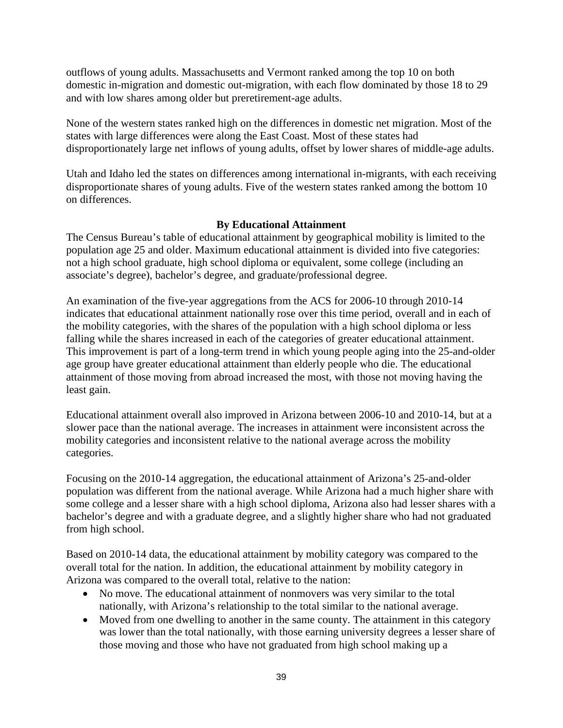outflows of young adults. Massachusetts and Vermont ranked among the top 10 on both domestic in-migration and domestic out-migration, with each flow dominated by those 18 to 29 and with low shares among older but preretirement-age adults.

None of the western states ranked high on the differences in domestic net migration. Most of the states with large differences were along the East Coast. Most of these states had disproportionately large net inflows of young adults, offset by lower shares of middle-age adults.

Utah and Idaho led the states on differences among international in-migrants, with each receiving disproportionate shares of young adults. Five of the western states ranked among the bottom 10 on differences.

# **By Educational Attainment**

The Census Bureau's table of educational attainment by geographical mobility is limited to the population age 25 and older. Maximum educational attainment is divided into five categories: not a high school graduate, high school diploma or equivalent, some college (including an associate's degree), bachelor's degree, and graduate/professional degree.

An examination of the five-year aggregations from the ACS for 2006-10 through 2010-14 indicates that educational attainment nationally rose over this time period, overall and in each of the mobility categories, with the shares of the population with a high school diploma or less falling while the shares increased in each of the categories of greater educational attainment. This improvement is part of a long-term trend in which young people aging into the 25-and-older age group have greater educational attainment than elderly people who die. The educational attainment of those moving from abroad increased the most, with those not moving having the least gain.

Educational attainment overall also improved in Arizona between 2006-10 and 2010-14, but at a slower pace than the national average. The increases in attainment were inconsistent across the mobility categories and inconsistent relative to the national average across the mobility categories.

Focusing on the 2010-14 aggregation, the educational attainment of Arizona's 25-and-older population was different from the national average. While Arizona had a much higher share with some college and a lesser share with a high school diploma, Arizona also had lesser shares with a bachelor's degree and with a graduate degree, and a slightly higher share who had not graduated from high school.

Based on 2010-14 data, the educational attainment by mobility category was compared to the overall total for the nation. In addition, the educational attainment by mobility category in Arizona was compared to the overall total, relative to the nation:

- No move. The educational attainment of nonmovers was very similar to the total nationally, with Arizona's relationship to the total similar to the national average.
- Moved from one dwelling to another in the same county. The attainment in this category was lower than the total nationally, with those earning university degrees a lesser share of those moving and those who have not graduated from high school making up a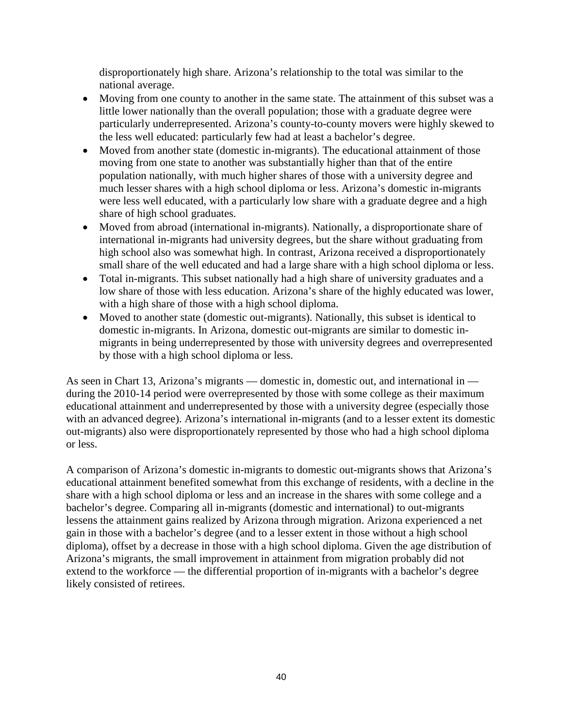disproportionately high share. Arizona's relationship to the total was similar to the national average.

- Moving from one county to another in the same state. The attainment of this subset was a little lower nationally than the overall population; those with a graduate degree were particularly underrepresented. Arizona's county-to-county movers were highly skewed to the less well educated: particularly few had at least a bachelor's degree.
- Moved from another state (domestic in-migrants). The educational attainment of those moving from one state to another was substantially higher than that of the entire population nationally, with much higher shares of those with a university degree and much lesser shares with a high school diploma or less. Arizona's domestic in-migrants were less well educated, with a particularly low share with a graduate degree and a high share of high school graduates.
- Moved from abroad (international in-migrants). Nationally, a disproportionate share of international in-migrants had university degrees, but the share without graduating from high school also was somewhat high. In contrast, Arizona received a disproportionately small share of the well educated and had a large share with a high school diploma or less.
- Total in-migrants. This subset nationally had a high share of university graduates and a low share of those with less education. Arizona's share of the highly educated was lower, with a high share of those with a high school diploma.
- Moved to another state (domestic out-migrants). Nationally, this subset is identical to domestic in-migrants. In Arizona, domestic out-migrants are similar to domestic inmigrants in being underrepresented by those with university degrees and overrepresented by those with a high school diploma or less.

As seen in Chart 13, Arizona's migrants — domestic in, domestic out, and international in during the 2010-14 period were overrepresented by those with some college as their maximum educational attainment and underrepresented by those with a university degree (especially those with an advanced degree). Arizona's international in-migrants (and to a lesser extent its domestic out-migrants) also were disproportionately represented by those who had a high school diploma or less.

A comparison of Arizona's domestic in-migrants to domestic out-migrants shows that Arizona's educational attainment benefited somewhat from this exchange of residents, with a decline in the share with a high school diploma or less and an increase in the shares with some college and a bachelor's degree. Comparing all in-migrants (domestic and international) to out-migrants lessens the attainment gains realized by Arizona through migration. Arizona experienced a net gain in those with a bachelor's degree (and to a lesser extent in those without a high school diploma), offset by a decrease in those with a high school diploma. Given the age distribution of Arizona's migrants, the small improvement in attainment from migration probably did not extend to the workforce — the differential proportion of in-migrants with a bachelor's degree likely consisted of retirees.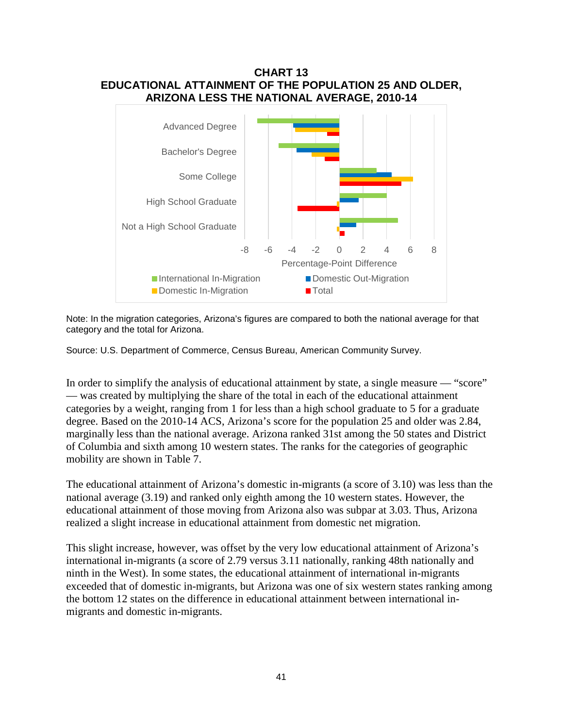

Note: In the migration categories, Arizona's figures are compared to both the national average for that category and the total for Arizona.

Source: U.S. Department of Commerce, Census Bureau, American Community Survey.

In order to simplify the analysis of educational attainment by state, a single measure — "score" — was created by multiplying the share of the total in each of the educational attainment categories by a weight, ranging from 1 for less than a high school graduate to 5 for a graduate degree. Based on the 2010-14 ACS, Arizona's score for the population 25 and older was 2.84, marginally less than the national average. Arizona ranked 31st among the 50 states and District of Columbia and sixth among 10 western states. The ranks for the categories of geographic mobility are shown in Table 7.

The educational attainment of Arizona's domestic in-migrants (a score of 3.10) was less than the national average (3.19) and ranked only eighth among the 10 western states. However, the educational attainment of those moving from Arizona also was subpar at 3.03. Thus, Arizona realized a slight increase in educational attainment from domestic net migration.

This slight increase, however, was offset by the very low educational attainment of Arizona's international in-migrants (a score of 2.79 versus 3.11 nationally, ranking 48th nationally and ninth in the West). In some states, the educational attainment of international in-migrants exceeded that of domestic in-migrants, but Arizona was one of six western states ranking among the bottom 12 states on the difference in educational attainment between international inmigrants and domestic in-migrants.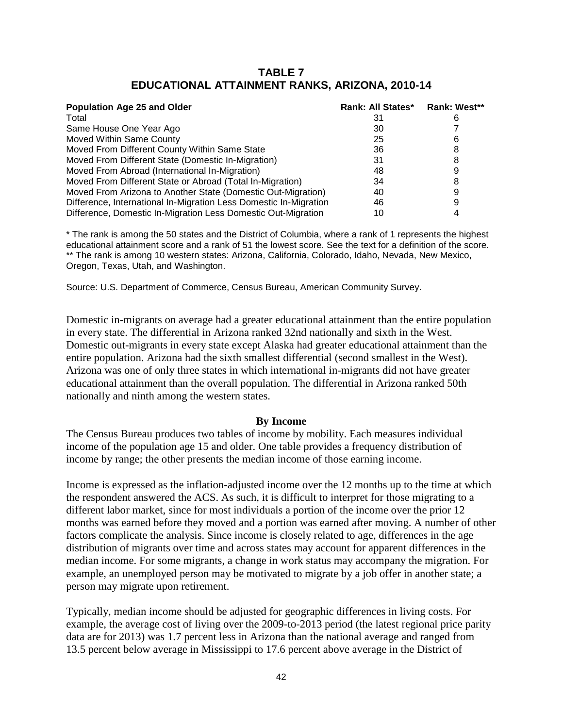# **TABLE 7 EDUCATIONAL ATTAINMENT RANKS, ARIZONA, 2010-14**

| <b>Population Age 25 and Older</b>                                | Rank: All States* | Rank: West** |
|-------------------------------------------------------------------|-------------------|--------------|
| Total                                                             | 31                |              |
| Same House One Year Ago                                           | 30                |              |
| Moved Within Same County                                          | 25                | 6            |
| Moved From Different County Within Same State                     | 36                |              |
| Moved From Different State (Domestic In-Migration)                | 31                |              |
| Moved From Abroad (International In-Migration)                    | 48                |              |
| Moved From Different State or Abroad (Total In-Migration)         | 34                |              |
| Moved From Arizona to Another State (Domestic Out-Migration)      | 40                |              |
| Difference, International In-Migration Less Domestic In-Migration | 46                |              |
| Difference, Domestic In-Migration Less Domestic Out-Migration     | 10                |              |

\* The rank is among the 50 states and the District of Columbia, where a rank of 1 represents the highest educational attainment score and a rank of 51 the lowest score. See the text for a definition of the score. \*\* The rank is among 10 western states: Arizona, California, Colorado, Idaho, Nevada, New Mexico, Oregon, Texas, Utah, and Washington.

Source: U.S. Department of Commerce, Census Bureau, American Community Survey.

Domestic in-migrants on average had a greater educational attainment than the entire population in every state. The differential in Arizona ranked 32nd nationally and sixth in the West. Domestic out-migrants in every state except Alaska had greater educational attainment than the entire population. Arizona had the sixth smallest differential (second smallest in the West). Arizona was one of only three states in which international in-migrants did not have greater educational attainment than the overall population. The differential in Arizona ranked 50th nationally and ninth among the western states.

#### **By Income**

The Census Bureau produces two tables of income by mobility. Each measures individual income of the population age 15 and older. One table provides a frequency distribution of income by range; the other presents the median income of those earning income.

Income is expressed as the inflation-adjusted income over the 12 months up to the time at which the respondent answered the ACS. As such, it is difficult to interpret for those migrating to a different labor market, since for most individuals a portion of the income over the prior 12 months was earned before they moved and a portion was earned after moving. A number of other factors complicate the analysis. Since income is closely related to age, differences in the age distribution of migrants over time and across states may account for apparent differences in the median income. For some migrants, a change in work status may accompany the migration. For example, an unemployed person may be motivated to migrate by a job offer in another state; a person may migrate upon retirement.

Typically, median income should be adjusted for geographic differences in living costs. For example, the average cost of living over the 2009-to-2013 period (the latest regional price parity data are for 2013) was 1.7 percent less in Arizona than the national average and ranged from 13.5 percent below average in Mississippi to 17.6 percent above average in the District of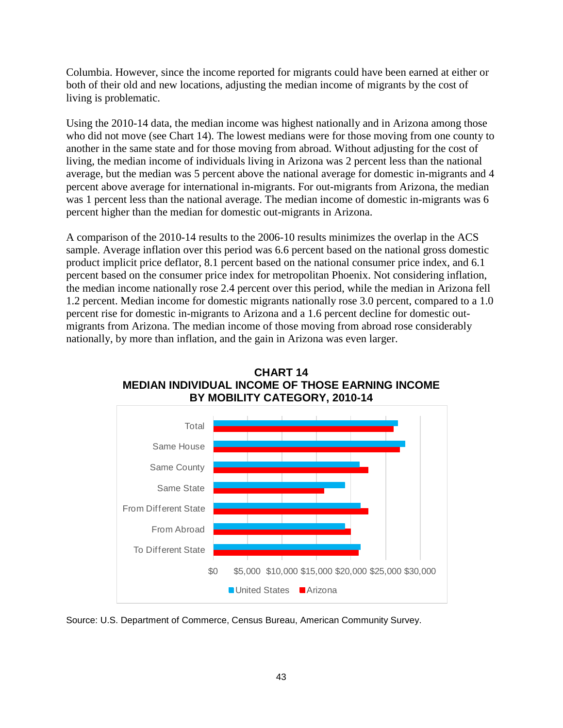Columbia. However, since the income reported for migrants could have been earned at either or both of their old and new locations, adjusting the median income of migrants by the cost of living is problematic.

Using the 2010-14 data, the median income was highest nationally and in Arizona among those who did not move (see Chart 14). The lowest medians were for those moving from one county to another in the same state and for those moving from abroad. Without adjusting for the cost of living, the median income of individuals living in Arizona was 2 percent less than the national average, but the median was 5 percent above the national average for domestic in-migrants and 4 percent above average for international in-migrants. For out-migrants from Arizona, the median was 1 percent less than the national average. The median income of domestic in-migrants was 6 percent higher than the median for domestic out-migrants in Arizona.

A comparison of the 2010-14 results to the 2006-10 results minimizes the overlap in the ACS sample. Average inflation over this period was 6.6 percent based on the national gross domestic product implicit price deflator, 8.1 percent based on the national consumer price index, and 6.1 percent based on the consumer price index for metropolitan Phoenix. Not considering inflation, the median income nationally rose 2.4 percent over this period, while the median in Arizona fell 1.2 percent. Median income for domestic migrants nationally rose 3.0 percent, compared to a 1.0 percent rise for domestic in-migrants to Arizona and a 1.6 percent decline for domestic outmigrants from Arizona. The median income of those moving from abroad rose considerably nationally, by more than inflation, and the gain in Arizona was even larger.



**CHART 14 MEDIAN INDIVIDUAL INCOME OF THOSE EARNING INCOME BY MOBILITY CATEGORY, 2010-14**

Source: U.S. Department of Commerce, Census Bureau, American Community Survey.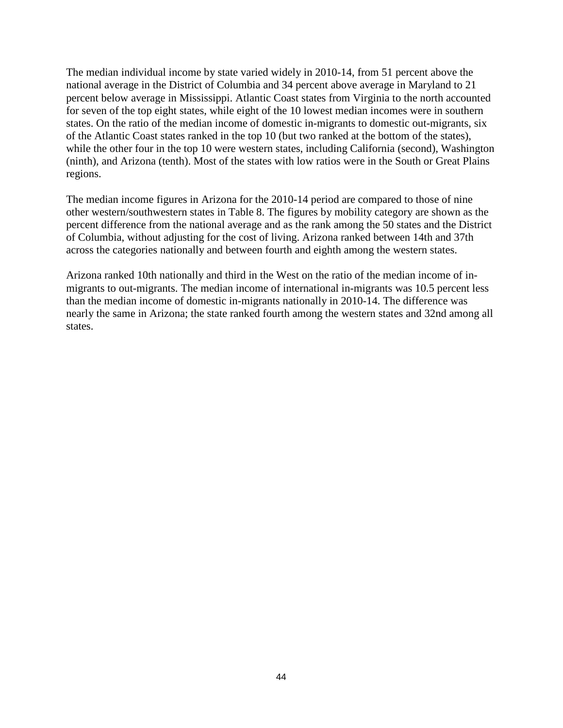The median individual income by state varied widely in 2010-14, from 51 percent above the national average in the District of Columbia and 34 percent above average in Maryland to 21 percent below average in Mississippi. Atlantic Coast states from Virginia to the north accounted for seven of the top eight states, while eight of the 10 lowest median incomes were in southern states. On the ratio of the median income of domestic in-migrants to domestic out-migrants, six of the Atlantic Coast states ranked in the top 10 (but two ranked at the bottom of the states), while the other four in the top 10 were western states, including California (second), Washington (ninth), and Arizona (tenth). Most of the states with low ratios were in the South or Great Plains regions.

The median income figures in Arizona for the 2010-14 period are compared to those of nine other western/southwestern states in Table 8. The figures by mobility category are shown as the percent difference from the national average and as the rank among the 50 states and the District of Columbia, without adjusting for the cost of living. Arizona ranked between 14th and 37th across the categories nationally and between fourth and eighth among the western states.

Arizona ranked 10th nationally and third in the West on the ratio of the median income of inmigrants to out-migrants. The median income of international in-migrants was 10.5 percent less than the median income of domestic in-migrants nationally in 2010-14. The difference was nearly the same in Arizona; the state ranked fourth among the western states and 32nd among all states.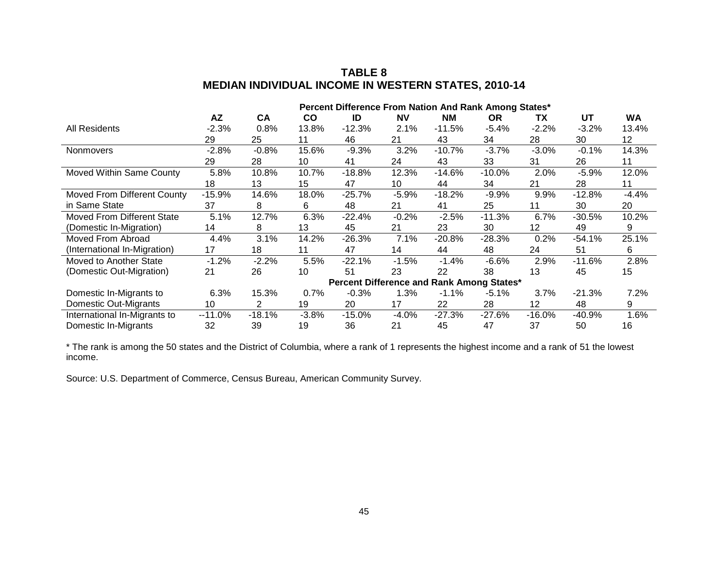# **TABLE 8 MEDIAN INDIVIDUAL INCOME IN WESTERN STATES, 2010-14**

|                                    | Percent Difference From Nation And Rank Among States* |          |               |                                          |           |           |           |          |          |           |
|------------------------------------|-------------------------------------------------------|----------|---------------|------------------------------------------|-----------|-----------|-----------|----------|----------|-----------|
|                                    | AZ                                                    | CA       | $\mathsf{co}$ | ID                                       | <b>NV</b> | <b>NM</b> | <b>OR</b> | ΤХ       | UT       | <b>WA</b> |
| All Residents                      | $-2.3%$                                               | 0.8%     | 13.8%         | $-12.3%$                                 | 2.1%      | $-11.5%$  | $-5.4%$   | $-2.2%$  | $-3.2%$  | 13.4%     |
|                                    | 29                                                    | 25       | 11            | 46                                       | 21        | 43        | 34        | 28       | 30       | 12        |
| <b>Nonmovers</b>                   | $-2.8%$                                               | $-0.8%$  | 15.6%         | $-9.3%$                                  | 3.2%      | $-10.7%$  | $-3.7%$   | $-3.0\%$ | $-0.1%$  | 14.3%     |
|                                    | 29                                                    | 28       | 10            | 41                                       | 24        | 43        | 33        | 31       | 26       | 11        |
| Moved Within Same County           | 5.8%                                                  | 10.8%    | 10.7%         | $-18.8%$                                 | 12.3%     | $-14.6%$  | $-10.0%$  | 2.0%     | $-5.9%$  | 12.0%     |
|                                    | 18                                                    | 13       | 15            | 47                                       | 10        | 44        | 34        | 21       | 28       | 11        |
| <b>Moved From Different County</b> | $-15.9%$                                              | 14.6%    | 18.0%         | $-25.7%$                                 | $-5.9%$   | $-18.2%$  | $-9.9%$   | $9.9\%$  | $-12.8%$ | $-4.4%$   |
| in Same State                      | 37                                                    | 8        | 6             | 48                                       | 21        | 41        | 25        | 11       | 30       | 20        |
| <b>Moved From Different State</b>  | 5.1%                                                  | 12.7%    | 6.3%          | $-22.4%$                                 | $-0.2%$   | $-2.5%$   | $-11.3%$  | 6.7%     | $-30.5%$ | 10.2%     |
| (Domestic In-Migration)            | 14                                                    | 8        | 13            | 45                                       | 21        | 23        | 30        | 12       | 49       | 9         |
| Moved From Abroad                  | 4.4%                                                  | 3.1%     | 14.2%         | $-26.3%$                                 | 7.1%      | $-20.8%$  | $-28.3%$  | 0.2%     | -54.1%   | 25.1%     |
| (International In-Migration)       | 17                                                    | 18       | 11            | 47                                       | 14        | 44        | 48        | 24       | 51       | 6         |
| Moved to Another State             | $-1.2%$                                               | $-2.2%$  | 5.5%          | $-22.1%$                                 | $-1.5%$   | $-1.4%$   | $-6.6%$   | 2.9%     | $-11.6%$ | 2.8%      |
| (Domestic Out-Migration)           | 21                                                    | 26       | 10            | 51                                       | 23        | 22        | 38        | 13       | 45       | 15        |
|                                    |                                                       |          |               | <b>Percent Difference and Rank Among</b> |           |           | States*   |          |          |           |
| Domestic In-Migrants to            | 6.3%                                                  | 15.3%    | 0.7%          | $-0.3%$                                  | 1.3%      | $-1.1%$   | $-5.1%$   | 3.7%     | $-21.3%$ | 7.2%      |
| Domestic Out-Migrants              | 10                                                    | 2        | 19            | 20                                       | 17        | 22        | 28        | 12       | 48       | 9         |
| International In-Migrants to       | $-11.0%$                                              | $-18.1%$ | $-3.8%$       | $-15.0%$                                 | $-4.0%$   | $-27.3%$  | $-27.6%$  | $-16.0%$ | -40.9%   | 1.6%      |
| Domestic In-Migrants               | 32                                                    | 39       | 19            | 36                                       | 21        | 45        | 47        | 37       | 50       | 16        |

\* The rank is among the 50 states and the District of Columbia, where a rank of 1 represents the highest income and a rank of 51 the lowest income.

Source: U.S. Department of Commerce, Census Bureau, American Community Survey.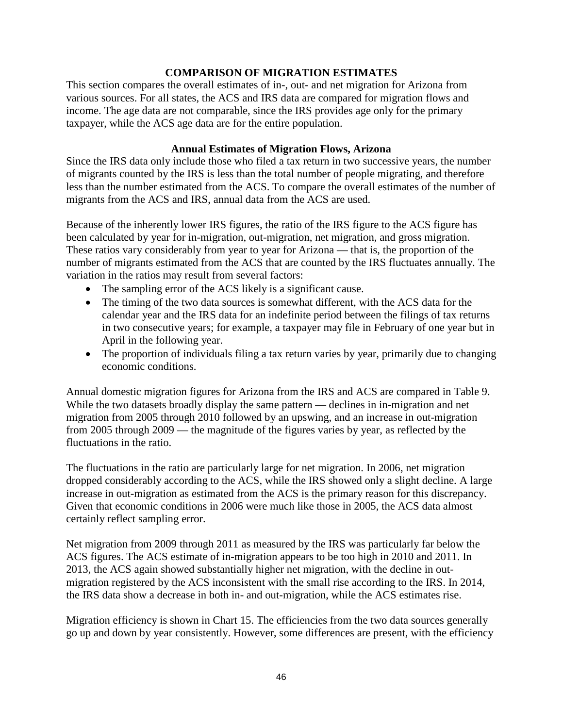# **COMPARISON OF MIGRATION ESTIMATES**

This section compares the overall estimates of in-, out- and net migration for Arizona from various sources. For all states, the ACS and IRS data are compared for migration flows and income. The age data are not comparable, since the IRS provides age only for the primary taxpayer, while the ACS age data are for the entire population.

# **Annual Estimates of Migration Flows, Arizona**

Since the IRS data only include those who filed a tax return in two successive years, the number of migrants counted by the IRS is less than the total number of people migrating, and therefore less than the number estimated from the ACS. To compare the overall estimates of the number of migrants from the ACS and IRS, annual data from the ACS are used.

Because of the inherently lower IRS figures, the ratio of the IRS figure to the ACS figure has been calculated by year for in-migration, out-migration, net migration, and gross migration. These ratios vary considerably from year to year for Arizona — that is, the proportion of the number of migrants estimated from the ACS that are counted by the IRS fluctuates annually. The variation in the ratios may result from several factors:

- The sampling error of the ACS likely is a significant cause.
- The timing of the two data sources is somewhat different, with the ACS data for the calendar year and the IRS data for an indefinite period between the filings of tax returns in two consecutive years; for example, a taxpayer may file in February of one year but in April in the following year.
- The proportion of individuals filing a tax return varies by year, primarily due to changing economic conditions.

Annual domestic migration figures for Arizona from the IRS and ACS are compared in Table 9. While the two datasets broadly display the same pattern — declines in in-migration and net migration from 2005 through 2010 followed by an upswing, and an increase in out-migration from 2005 through 2009 — the magnitude of the figures varies by year, as reflected by the fluctuations in the ratio.

The fluctuations in the ratio are particularly large for net migration. In 2006, net migration dropped considerably according to the ACS, while the IRS showed only a slight decline. A large increase in out-migration as estimated from the ACS is the primary reason for this discrepancy. Given that economic conditions in 2006 were much like those in 2005, the ACS data almost certainly reflect sampling error.

Net migration from 2009 through 2011 as measured by the IRS was particularly far below the ACS figures. The ACS estimate of in-migration appears to be too high in 2010 and 2011. In 2013, the ACS again showed substantially higher net migration, with the decline in outmigration registered by the ACS inconsistent with the small rise according to the IRS. In 2014, the IRS data show a decrease in both in- and out-migration, while the ACS estimates rise.

Migration efficiency is shown in Chart 15. The efficiencies from the two data sources generally go up and down by year consistently. However, some differences are present, with the efficiency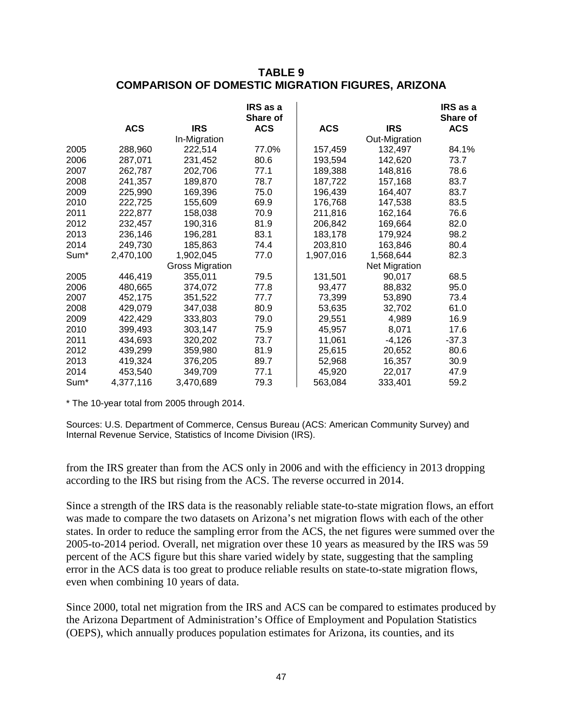# **TABLE 9 COMPARISON OF DOMESTIC MIGRATION FIGURES, ARIZONA**

|                  |            |                 | IRS as a<br><b>Share of</b> |            |                      | IRS as a<br>Share of |
|------------------|------------|-----------------|-----------------------------|------------|----------------------|----------------------|
|                  | <b>ACS</b> | <b>IRS</b>      | <b>ACS</b>                  | <b>ACS</b> | <b>IRS</b>           | <b>ACS</b>           |
|                  |            | In-Migration    |                             |            | Out-Migration        |                      |
| 2005             | 288,960    | 222,514         | 77.0%                       | 157,459    | 132,497              | 84.1%                |
| 2006             | 287,071    | 231,452         | 80.6                        | 193,594    | 142,620              | 73.7                 |
| 2007             | 262,787    | 202,706         | 77.1                        | 189,388    | 148,816              | 78.6                 |
| 2008             | 241,357    | 189,870         | 78.7                        | 187,722    | 157,168              | 83.7                 |
| 2009             | 225,990    | 169,396         | 75.0                        | 196,439    | 164,407              | 83.7                 |
| 2010             | 222,725    | 155,609         | 69.9                        | 176,768    | 147,538              | 83.5                 |
| 2011             | 222,877    | 158,038         | 70.9                        | 211,816    | 162,164              | 76.6                 |
| 2012             | 232,457    | 190,316         | 81.9                        | 206,842    | 169,664              | 82.0                 |
| 2013             | 236,146    | 196,281         | 83.1                        | 183,178    | 179,924              | 98.2                 |
| 2014             | 249,730    | 185,863         | 74.4                        | 203,810    | 163,846              | 80.4                 |
| Sum <sup>*</sup> | 2,470,100  | 1,902,045       | 77.0                        | 1,907,016  | 1,568,644            | 82.3                 |
|                  |            | Gross Migration |                             |            | <b>Net Migration</b> |                      |
| 2005             | 446,419    | 355,011         | 79.5                        | 131,501    | 90,017               | 68.5                 |
| 2006             | 480,665    | 374,072         | 77.8                        | 93,477     | 88,832               | 95.0                 |
| 2007             | 452,175    | 351,522         | 77.7                        | 73,399     | 53,890               | 73.4                 |
| 2008             | 429,079    | 347,038         | 80.9                        | 53,635     | 32,702               | 61.0                 |
| 2009             | 422,429    | 333,803         | 79.0                        | 29,551     | 4,989                | 16.9                 |
| 2010             | 399,493    | 303,147         | 75.9                        | 45,957     | 8,071                | 17.6                 |
| 2011             | 434,693    | 320,202         | 73.7                        | 11,061     | $-4,126$             | $-37.3$              |
| 2012             | 439,299    | 359,980         | 81.9                        | 25,615     | 20,652               | 80.6                 |
| 2013             | 419,324    | 376,205         | 89.7                        | 52,968     | 16,357               | 30.9                 |
| 2014             | 453,540    | 349,709         | 77.1                        | 45,920     | 22,017               | 47.9                 |
| Sum*             | 4,377,116  | 3,470,689       | 79.3                        | 563,084    | 333,401              | 59.2                 |

\* The 10-year total from 2005 through 2014.

Sources: U.S. Department of Commerce, Census Bureau (ACS: American Community Survey) and Internal Revenue Service, Statistics of Income Division (IRS).

from the IRS greater than from the ACS only in 2006 and with the efficiency in 2013 dropping according to the IRS but rising from the ACS. The reverse occurred in 2014.

Since a strength of the IRS data is the reasonably reliable state-to-state migration flows, an effort was made to compare the two datasets on Arizona's net migration flows with each of the other states. In order to reduce the sampling error from the ACS, the net figures were summed over the 2005-to-2014 period. Overall, net migration over these 10 years as measured by the IRS was 59 percent of the ACS figure but this share varied widely by state, suggesting that the sampling error in the ACS data is too great to produce reliable results on state-to-state migration flows, even when combining 10 years of data.

Since 2000, total net migration from the IRS and ACS can be compared to estimates produced by the Arizona Department of Administration's Office of Employment and Population Statistics (OEPS), which annually produces population estimates for Arizona, its counties, and its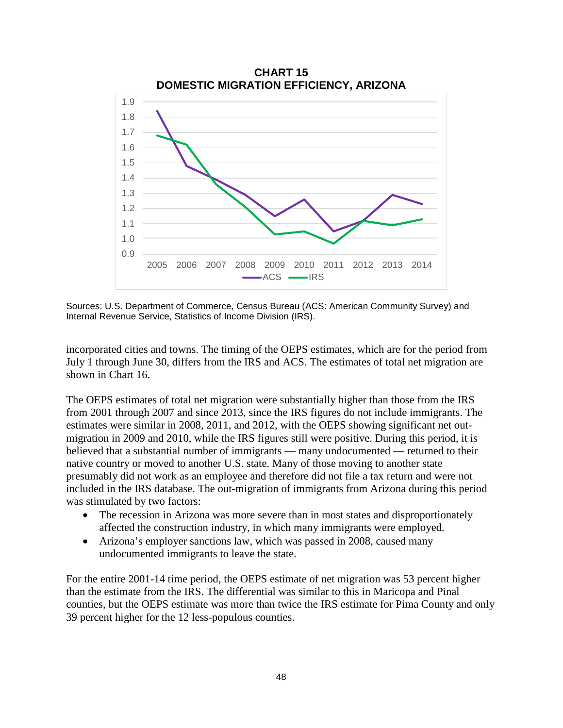

Sources: U.S. Department of Commerce, Census Bureau (ACS: American Community Survey) and Internal Revenue Service, Statistics of Income Division (IRS).

incorporated cities and towns. The timing of the OEPS estimates, which are for the period from July 1 through June 30, differs from the IRS and ACS. The estimates of total net migration are shown in Chart 16.

The OEPS estimates of total net migration were substantially higher than those from the IRS from 2001 through 2007 and since 2013, since the IRS figures do not include immigrants. The estimates were similar in 2008, 2011, and 2012, with the OEPS showing significant net outmigration in 2009 and 2010, while the IRS figures still were positive. During this period, it is believed that a substantial number of immigrants — many undocumented — returned to their native country or moved to another U.S. state. Many of those moving to another state presumably did not work as an employee and therefore did not file a tax return and were not included in the IRS database. The out-migration of immigrants from Arizona during this period was stimulated by two factors:

- The recession in Arizona was more severe than in most states and disproportionately affected the construction industry, in which many immigrants were employed.
- Arizona's employer sanctions law, which was passed in 2008, caused many undocumented immigrants to leave the state.

For the entire 2001-14 time period, the OEPS estimate of net migration was 53 percent higher than the estimate from the IRS. The differential was similar to this in Maricopa and Pinal counties, but the OEPS estimate was more than twice the IRS estimate for Pima County and only 39 percent higher for the 12 less-populous counties.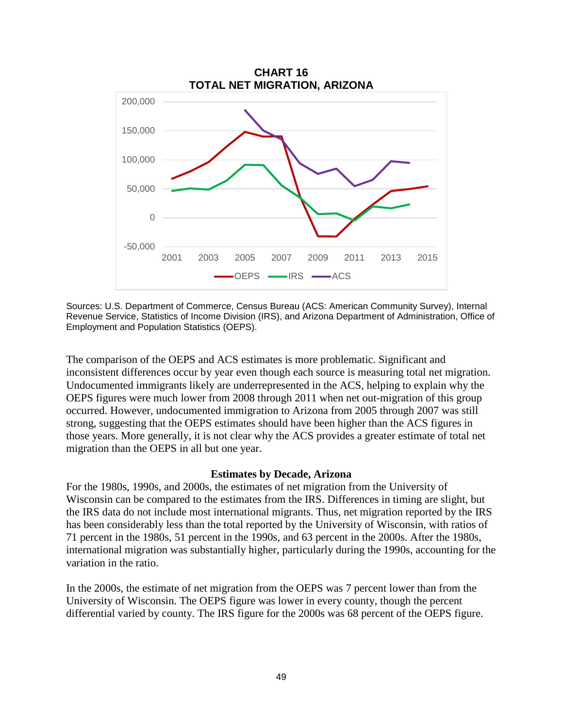

Sources: U.S. Department of Commerce, Census Bureau (ACS: American Community Survey), Internal Revenue Service, Statistics of Income Division (IRS), and Arizona Department of Administration, Office of Employment and Population Statistics (OEPS).

The comparison of the OEPS and ACS estimates is more problematic. Significant and inconsistent differences occur by year even though each source is measuring total net migration. Undocumented immigrants likely are underrepresented in the ACS, helping to explain why the OEPS figures were much lower from 2008 through 2011 when net out-migration of this group occurred. However, undocumented immigration to Arizona from 2005 through 2007 was still strong, suggesting that the OEPS estimates should have been higher than the ACS figures in those years. More generally, it is not clear why the ACS provides a greater estimate of total net migration than the OEPS in all but one year.

#### **Estimates by Decade, Arizona**

For the 1980s, 1990s, and 2000s, the estimates of net migration from the University of Wisconsin can be compared to the estimates from the IRS. Differences in timing are slight, but the IRS data do not include most international migrants. Thus, net migration reported by the IRS has been considerably less than the total reported by the University of Wisconsin, with ratios of 71 percent in the 1980s, 51 percent in the 1990s, and 63 percent in the 2000s. After the 1980s, international migration was substantially higher, particularly during the 1990s, accounting for the variation in the ratio.

In the 2000s, the estimate of net migration from the OEPS was 7 percent lower than from the University of Wisconsin. The OEPS figure was lower in every county, though the percent differential varied by county. The IRS figure for the 2000s was 68 percent of the OEPS figure.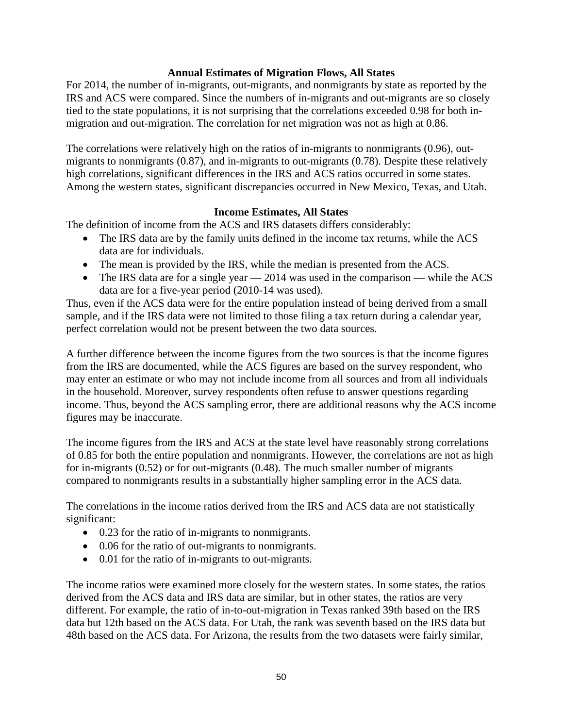# **Annual Estimates of Migration Flows, All States**

For 2014, the number of in-migrants, out-migrants, and nonmigrants by state as reported by the IRS and ACS were compared. Since the numbers of in-migrants and out-migrants are so closely tied to the state populations, it is not surprising that the correlations exceeded 0.98 for both inmigration and out-migration. The correlation for net migration was not as high at 0.86.

The correlations were relatively high on the ratios of in-migrants to nonmigrants (0.96), outmigrants to nonmigrants (0.87), and in-migrants to out-migrants (0.78). Despite these relatively high correlations, significant differences in the IRS and ACS ratios occurred in some states. Among the western states, significant discrepancies occurred in New Mexico, Texas, and Utah.

# **Income Estimates, All States**

The definition of income from the ACS and IRS datasets differs considerably:

- The IRS data are by the family units defined in the income tax returns, while the ACS data are for individuals.
- The mean is provided by the IRS, while the median is presented from the ACS.
- The IRS data are for a single year  $-2014$  was used in the comparison while the ACS data are for a five-year period (2010-14 was used).

Thus, even if the ACS data were for the entire population instead of being derived from a small sample, and if the IRS data were not limited to those filing a tax return during a calendar year, perfect correlation would not be present between the two data sources.

A further difference between the income figures from the two sources is that the income figures from the IRS are documented, while the ACS figures are based on the survey respondent, who may enter an estimate or who may not include income from all sources and from all individuals in the household. Moreover, survey respondents often refuse to answer questions regarding income. Thus, beyond the ACS sampling error, there are additional reasons why the ACS income figures may be inaccurate.

The income figures from the IRS and ACS at the state level have reasonably strong correlations of 0.85 for both the entire population and nonmigrants. However, the correlations are not as high for in-migrants (0.52) or for out-migrants (0.48). The much smaller number of migrants compared to nonmigrants results in a substantially higher sampling error in the ACS data.

The correlations in the income ratios derived from the IRS and ACS data are not statistically significant:

- 0.23 for the ratio of in-migrants to nonmigrants.
- 0.06 for the ratio of out-migrants to nonmigrants.
- 0.01 for the ratio of in-migrants to out-migrants.

The income ratios were examined more closely for the western states. In some states, the ratios derived from the ACS data and IRS data are similar, but in other states, the ratios are very different. For example, the ratio of in-to-out-migration in Texas ranked 39th based on the IRS data but 12th based on the ACS data. For Utah, the rank was seventh based on the IRS data but 48th based on the ACS data. For Arizona, the results from the two datasets were fairly similar,